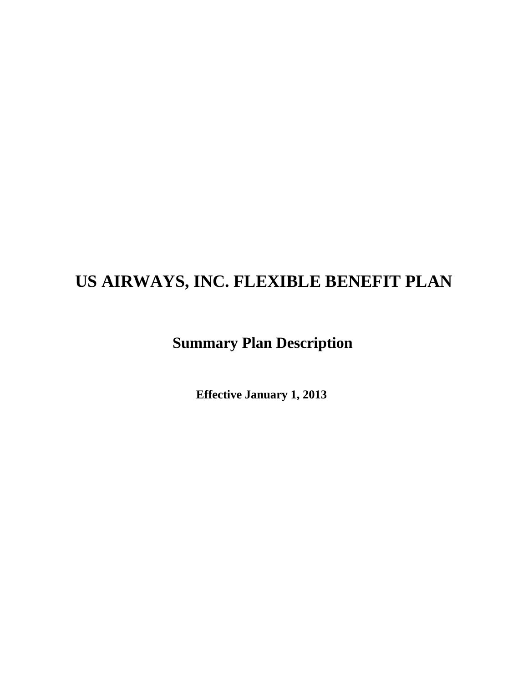# **US AIRWAYS, INC. FLEXIBLE BENEFIT PLAN**

# **Summary Plan Description**

 **Effective January 1, 2013**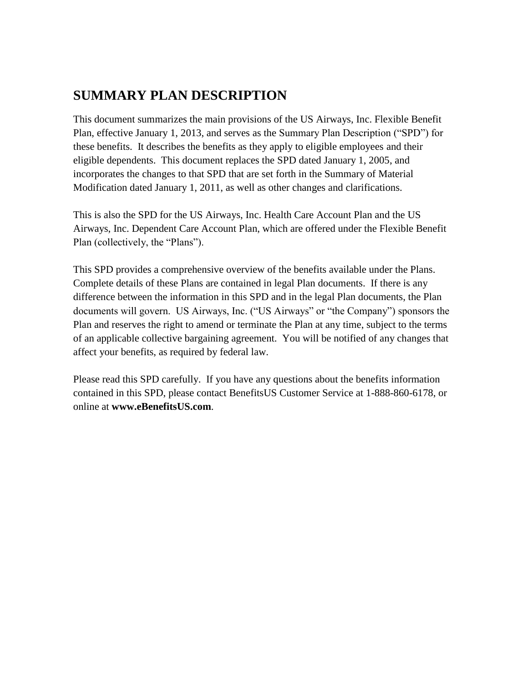# **SUMMARY PLAN DESCRIPTION**

This document summarizes the main provisions of the US Airways, Inc. Flexible Benefit Plan, effective January 1, 2013, and serves as the Summary Plan Description ("SPD") for these benefits. It describes the benefits as they apply to eligible employees and their eligible dependents. This document replaces the SPD dated January 1, 2005, and incorporates the changes to that SPD that are set forth in the Summary of Material Modification dated January 1, 2011, as well as other changes and clarifications.

This is also the SPD for the US Airways, Inc. Health Care Account Plan and the US Airways, Inc. Dependent Care Account Plan, which are offered under the Flexible Benefit Plan (collectively, the "Plans").

This SPD provides a comprehensive overview of the benefits available under the Plans. Complete details of these Plans are contained in legal Plan documents. If there is any difference between the information in this SPD and in the legal Plan documents, the Plan documents will govern. US Airways, Inc. ("US Airways" or "the Company") sponsors the Plan and reserves the right to amend or terminate the Plan at any time, subject to the terms of an applicable collective bargaining agreement. You will be notified of any changes that affect your benefits, as required by federal law.

Please read this SPD carefully. If you have any questions about the benefits information contained in this SPD, please contact BenefitsUS Customer Service at 1-888-860-6178, or online at **www.eBenefitsUS.com**.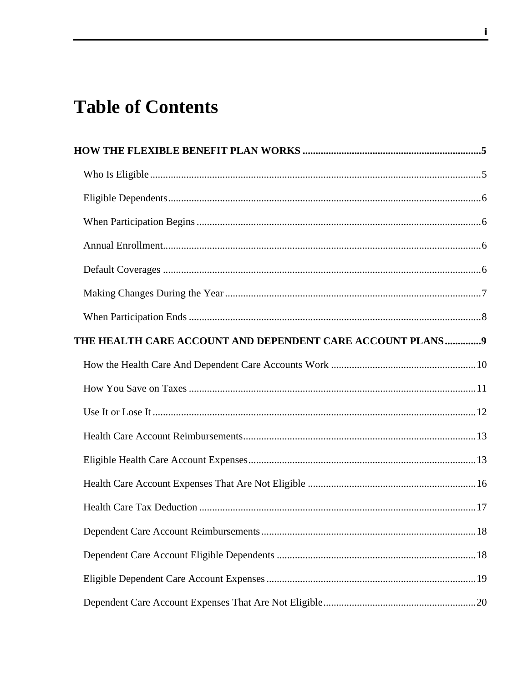# **Table of Contents**

| THE HEALTH CARE ACCOUNT AND DEPENDENT CARE ACCOUNT PLANS9 |  |
|-----------------------------------------------------------|--|
|                                                           |  |
|                                                           |  |
|                                                           |  |
|                                                           |  |
|                                                           |  |
|                                                           |  |
|                                                           |  |
|                                                           |  |
|                                                           |  |
|                                                           |  |
|                                                           |  |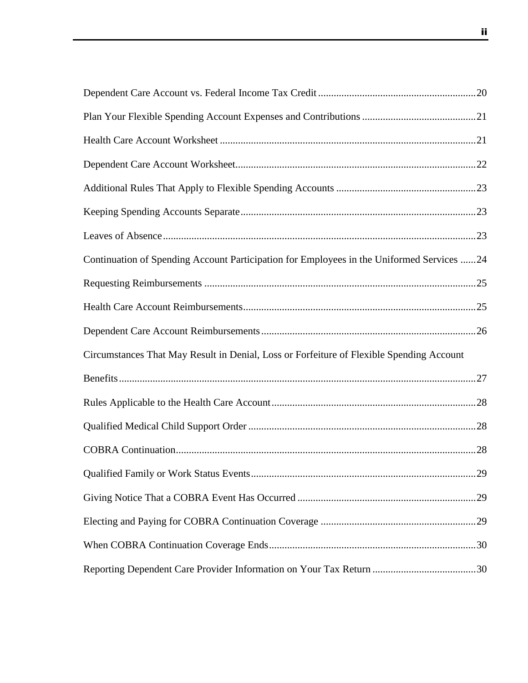| Continuation of Spending Account Participation for Employees in the Uniformed Services 24 |  |
|-------------------------------------------------------------------------------------------|--|
|                                                                                           |  |
|                                                                                           |  |
|                                                                                           |  |
| Circumstances That May Result in Denial, Loss or Forfeiture of Flexible Spending Account  |  |
|                                                                                           |  |
|                                                                                           |  |
|                                                                                           |  |
|                                                                                           |  |
|                                                                                           |  |
|                                                                                           |  |
|                                                                                           |  |
|                                                                                           |  |
|                                                                                           |  |

ii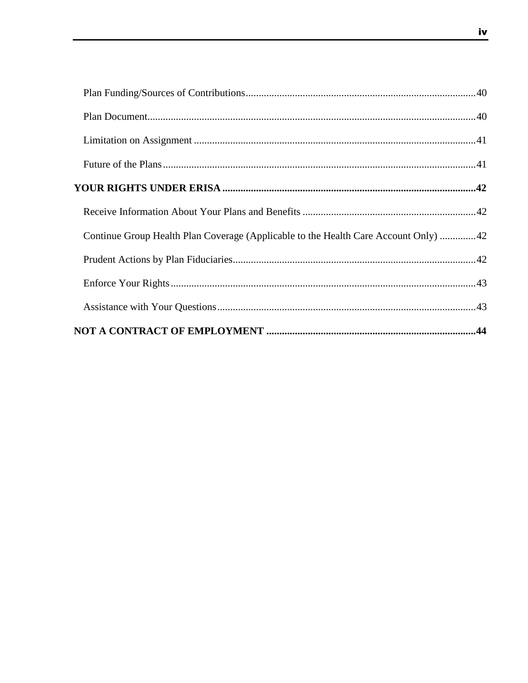| Continue Group Health Plan Coverage (Applicable to the Health Care Account Only) 42 |  |
|-------------------------------------------------------------------------------------|--|
|                                                                                     |  |
|                                                                                     |  |
|                                                                                     |  |
|                                                                                     |  |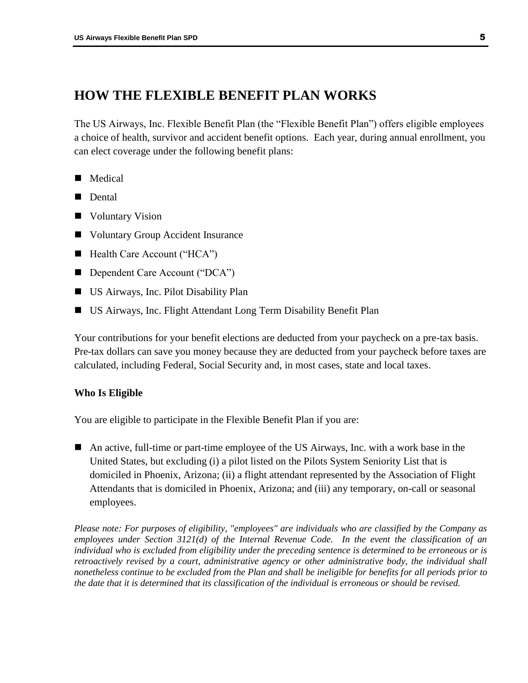# <span id="page-7-0"></span>**HOW THE FLEXIBLE BENEFIT PLAN WORKS**

The US Airways, Inc. Flexible Benefit Plan (the "Flexible Benefit Plan") offers eligible employees a choice of health, survivor and accident benefit options. Each year, during annual enrollment, you can elect coverage under the following benefit plans:

- **Medical**
- Dental
- **Net Voluntary Vision**
- Voluntary Group Accident Insurance
- Health Care Account ("HCA")
- Dependent Care Account ("DCA")
- US Airways, Inc. Pilot Disability Plan
- US Airways, Inc. Flight Attendant Long Term Disability Benefit Plan

Your contributions for your benefit elections are deducted from your paycheck on a pre-tax basis. Pre-tax dollars can save you money because they are deducted from your paycheck before taxes are calculated, including Federal, Social Security and, in most cases, state and local taxes.

#### <span id="page-7-1"></span>**Who Is Eligible**

You are eligible to participate in the Flexible Benefit Plan if you are:

 An active, full-time or part-time employee of the US Airways, Inc. with a work base in the United States, but excluding (i) a pilot listed on the Pilots System Seniority List that is domiciled in Phoenix, Arizona; (ii) a flight attendant represented by the Association of Flight Attendants that is domiciled in Phoenix, Arizona; and (iii) any temporary, on-call or seasonal employees.

*Please note: For purposes of eligibility, "employees" are individuals who are classified by the Company as employees under Section 3121(d) of the Internal Revenue Code. In the event the classification of an individual who is excluded from eligibility under the preceding sentence is determined to be erroneous or is retroactively revised by a court, administrative agency or other administrative body, the individual shall nonetheless continue to be excluded from the Plan and shall be ineligible for benefits for all periods prior to the date that it is determined that its classification of the individual is erroneous or should be revised.*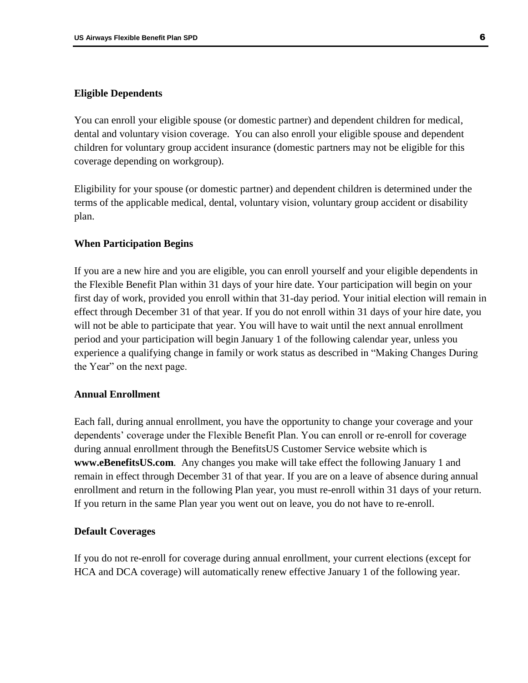#### <span id="page-8-0"></span>**Eligible Dependents**

You can enroll your eligible spouse (or domestic partner) and dependent children for medical, dental and voluntary vision coverage. You can also enroll your eligible spouse and dependent children for voluntary group accident insurance (domestic partners may not be eligible for this coverage depending on workgroup).

Eligibility for your spouse (or domestic partner) and dependent children is determined under the terms of the applicable medical, dental, voluntary vision, voluntary group accident or disability plan.

#### <span id="page-8-1"></span>**When Participation Begins**

If you are a new hire and you are eligible, you can enroll yourself and your eligible dependents in the Flexible Benefit Plan within 31 days of your hire date. Your participation will begin on your first day of work, provided you enroll within that 31-day period. Your initial election will remain in effect through December 31 of that year. If you do not enroll within 31 days of your hire date, you will not be able to participate that year. You will have to wait until the next annual enrollment period and your participation will begin January 1 of the following calendar year, unless you experience a qualifying change in family or work status as described in "Making Changes During the Year" on the next page.

### <span id="page-8-2"></span>**Annual Enrollment**

Each fall, during annual enrollment, you have the opportunity to change your coverage and your dependents' coverage under the Flexible Benefit Plan. You can enroll or re-enroll for coverage during annual enrollment through the BenefitsUS Customer Service website which is **www.eBenefitsUS.com**. Any changes you make will take effect the following January 1 and remain in effect through December 31 of that year. If you are on a leave of absence during annual enrollment and return in the following Plan year, you must re-enroll within 31 days of your return. If you return in the same Plan year you went out on leave, you do not have to re-enroll.

#### <span id="page-8-3"></span>**Default Coverages**

If you do not re-enroll for coverage during annual enrollment, your current elections (except for HCA and DCA coverage) will automatically renew effective January 1 of the following year.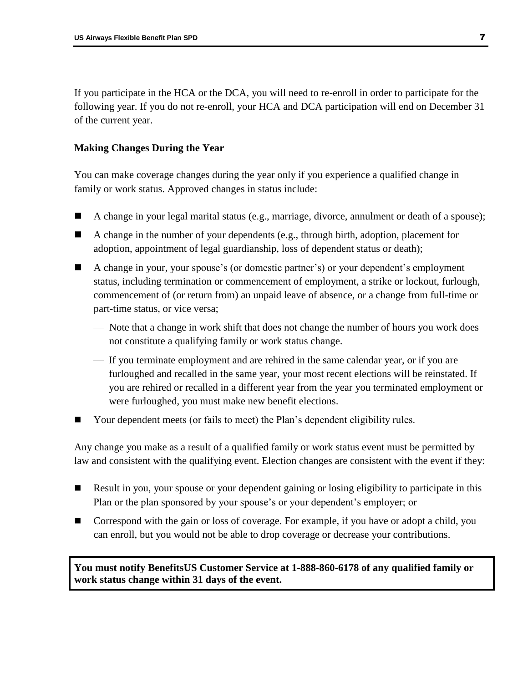If you participate in the HCA or the DCA, you will need to re-enroll in order to participate for the following year. If you do not re-enroll, your HCA and DCA participation will end on December 31 of the current year.

# <span id="page-9-0"></span>**Making Changes During the Year**

You can make coverage changes during the year only if you experience a qualified change in family or work status. Approved changes in status include:

- A change in your legal marital status (e.g., marriage, divorce, annulment or death of a spouse);
- A change in the number of your dependents (e.g., through birth, adoption, placement for adoption, appointment of legal guardianship, loss of dependent status or death);
- A change in your, your spouse's (or domestic partner's) or your dependent's employment status, including termination or commencement of employment, a strike or lockout, furlough, commencement of (or return from) an unpaid leave of absence, or a change from full-time or part-time status, or vice versa;
	- Note that a change in work shift that does not change the number of hours you work does not constitute a qualifying family or work status change.
	- If you terminate employment and are rehired in the same calendar year, or if you are furloughed and recalled in the same year, your most recent elections will be reinstated. If you are rehired or recalled in a different year from the year you terminated employment or were furloughed, you must make new benefit elections.
- Your dependent meets (or fails to meet) the Plan's dependent eligibility rules.

Any change you make as a result of a qualified family or work status event must be permitted by law and consistent with the qualifying event. Election changes are consistent with the event if they:

- Result in you, your spouse or your dependent gaining or losing eligibility to participate in this Plan or the plan sponsored by your spouse's or your dependent's employer; or
- Correspond with the gain or loss of coverage. For example, if you have or adopt a child, you can enroll, but you would not be able to drop coverage or decrease your contributions.

**You must notify BenefitsUS Customer Service at 1-888-860-6178 of any qualified family or work status change within 31 days of the event.**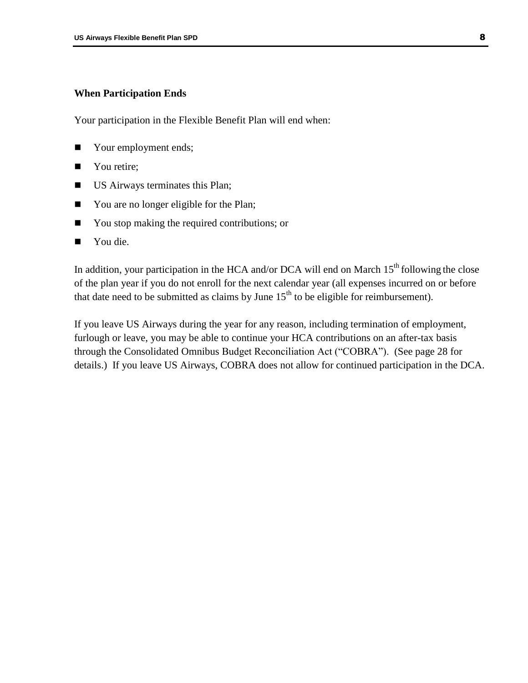#### <span id="page-10-0"></span>**When Participation Ends**

Your participation in the Flexible Benefit Plan will end when:

- Your employment ends;
- You retire;
- **US** Airways terminates this Plan;
- You are no longer eligible for the Plan;
- You stop making the required contributions; or
- You die.

In addition, your participation in the HCA and/or DCA will end on March  $15<sup>th</sup>$  following the close of the plan year if you do not enroll for the next calendar year (all expenses incurred on or before that date need to be submitted as claims by June  $15<sup>th</sup>$  to be eligible for reimbursement).

If you leave US Airways during the year for any reason, including termination of employment, furlough or leave, you may be able to continue your HCA contributions on an after-tax basis through the Consolidated Omnibus Budget Reconciliation Act ("COBRA"). (See page 28 for details.) If you leave US Airways, COBRA does not allow for continued participation in the DCA.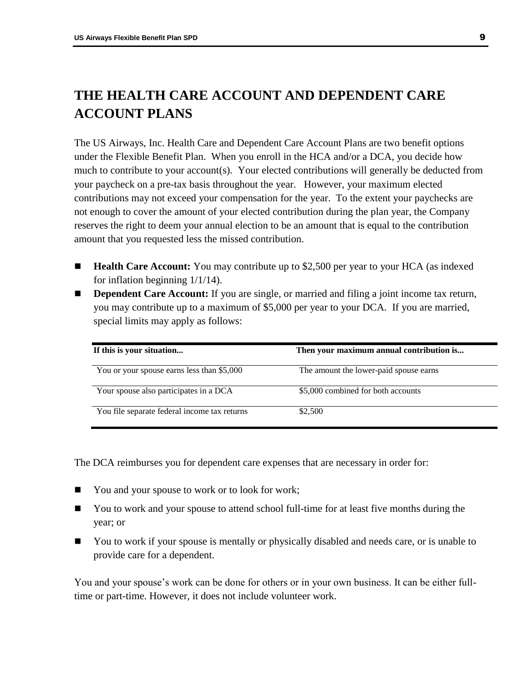# <span id="page-11-0"></span>**THE HEALTH CARE ACCOUNT AND DEPENDENT CARE ACCOUNT PLANS**

The US Airways, Inc. Health Care and Dependent Care Account Plans are two benefit options under the Flexible Benefit Plan. When you enroll in the HCA and/or a DCA, you decide how much to contribute to your account(s). Your elected contributions will generally be deducted from your paycheck on a pre-tax basis throughout the year. However, your maximum elected contributions may not exceed your compensation for the year. To the extent your paychecks are not enough to cover the amount of your elected contribution during the plan year, the Company reserves the right to deem your annual election to be an amount that is equal to the contribution amount that you requested less the missed contribution.

- **Health Care Account:** You may contribute up to \$2,500 per year to your HCA (as indexed for inflation beginning 1/1/14).
- **Dependent Care Account:** If you are single, or married and filing a joint income tax return, you may contribute up to a maximum of \$5,000 per year to your DCA. If you are married, special limits may apply as follows:

| If this is your situation                    | Then your maximum annual contribution is |
|----------------------------------------------|------------------------------------------|
| You or your spouse earns less than \$5,000   | The amount the lower-paid spouse earns   |
| Your spouse also participates in a DCA       | \$5,000 combined for both accounts       |
| You file separate federal income tax returns | \$2,500                                  |

The DCA reimburses you for dependent care expenses that are necessary in order for:

- You and your spouse to work or to look for work;
- You to work and your spouse to attend school full-time for at least five months during the year; or
- You to work if your spouse is mentally or physically disabled and needs care, or is unable to provide care for a dependent.

You and your spouse's work can be done for others or in your own business. It can be either fulltime or part-time. However, it does not include volunteer work.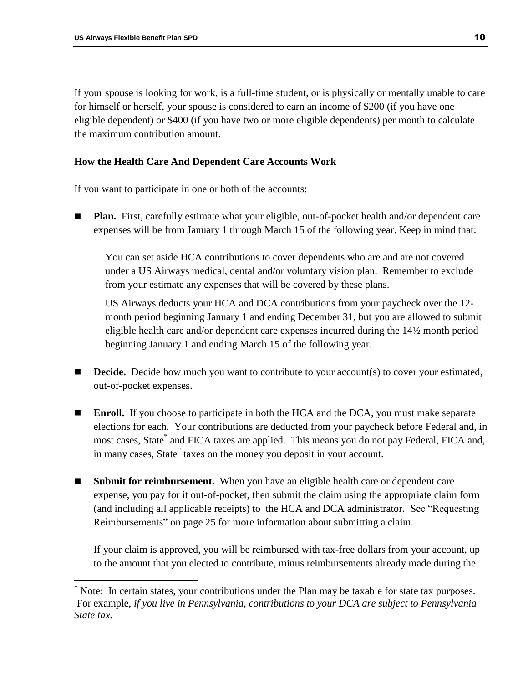$\overline{a}$ 

If your spouse is looking for work, is a full-time student, or is physically or mentally unable to care for himself or herself, your spouse is considered to earn an income of \$200 (if you have one eligible dependent) or \$400 (if you have two or more eligible dependents) per month to calculate the maximum contribution amount.

# <span id="page-12-0"></span>**How the Health Care And Dependent Care Accounts Work**

If you want to participate in one or both of the accounts:

- **Plan.** First, carefully estimate what your eligible, out-of-pocket health and/or dependent care expenses will be from January 1 through March 15 of the following year. Keep in mind that:
	- You can set aside HCA contributions to cover dependents who are and are not covered under a US Airways medical, dental and/or voluntary vision plan. Remember to exclude from your estimate any expenses that will be covered by these plans.
	- US Airways deducts your HCA and DCA contributions from your paycheck over the 12 month period beginning January 1 and ending December 31, but you are allowed to submit eligible health care and/or dependent care expenses incurred during the 14½ month period beginning January 1 and ending March 15 of the following year.
- **Decide.** Decide how much you want to contribute to your account(s) to cover your estimated, out-of-pocket expenses.
- **Enroll.** If you choose to participate in both the HCA and the DCA, you must make separate elections for each. Your contributions are deducted from your paycheck before Federal and, in most cases, State\* and FICA taxes are applied. This means you do not pay Federal, FICA and, in many cases, State\* taxes on the money you deposit in your account.
- **Submit for reimbursement.** When you have an eligible health care or dependent care expense, you pay for it out-of-pocket, then submit the claim using the appropriate claim form (and including all applicable receipts) to the HCA and DCA administrator. See "Requesting Reimbursements" on page 25 for more information about submitting a claim.

If your claim is approved, you will be reimbursed with tax-free dollars from your account, up to the amount that you elected to contribute, minus reimbursements already made during the

Note: In certain states, your contributions under the Plan may be taxable for state tax purposes. For example, *if you live in Pennsylvania, contributions to your DCA are subject to Pennsylvania State tax.*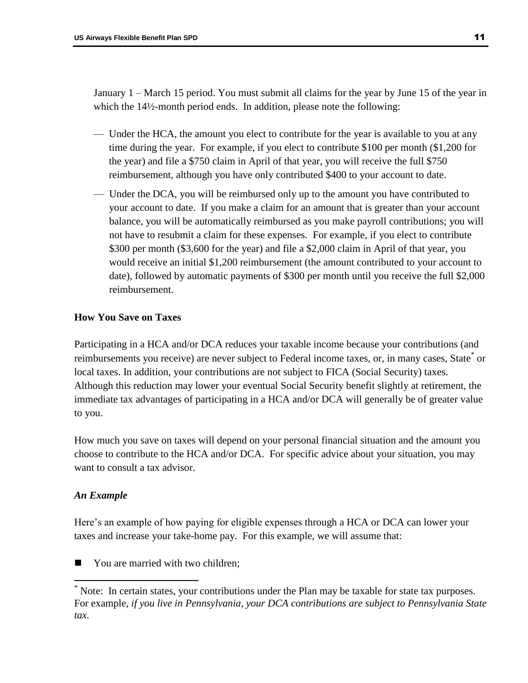January 1 – March 15 period. You must submit all claims for the year by June 15 of the year in which the 14½-month period ends. In addition, please note the following:

- Under the HCA, the amount you elect to contribute for the year is available to you at any time during the year. For example, if you elect to contribute \$100 per month (\$1,200 for the year) and file a \$750 claim in April of that year, you will receive the full \$750 reimbursement, although you have only contributed \$400 to your account to date.
- Under the DCA, you will be reimbursed only up to the amount you have contributed to your account to date. If you make a claim for an amount that is greater than your account balance, you will be automatically reimbursed as you make payroll contributions; you will not have to resubmit a claim for these expenses. For example, if you elect to contribute \$300 per month (\$3,600 for the year) and file a \$2,000 claim in April of that year, you would receive an initial \$1,200 reimbursement (the amount contributed to your account to date), followed by automatic payments of \$300 per month until you receive the full \$2,000 reimbursement.

# <span id="page-13-0"></span>**How You Save on Taxes**

Participating in a HCA and/or DCA reduces your taxable income because your contributions (and reimbursements you receive) are never subject to Federal income taxes, or, in many cases, State<sup>\*</sup> or local taxes. In addition, your contributions are not subject to FICA (Social Security) taxes. Although this reduction may lower your eventual Social Security benefit slightly at retirement, the immediate tax advantages of participating in a HCA and/or DCA will generally be of greater value to you.

How much you save on taxes will depend on your personal financial situation and the amount you choose to contribute to the HCA and/or DCA. For specific advice about your situation, you may want to consult a tax advisor.

# *An Example*

 $\overline{a}$ 

Here's an example of how paying for eligible expenses through a HCA or DCA can lower your taxes and increase your take-home pay. For this example, we will assume that:

■ You are married with two children;

<sup>\*</sup> Note: In certain states, your contributions under the Plan may be taxable for state tax purposes. For example, *if you live in Pennsylvania, your DCA contributions are subject to Pennsylvania State tax.*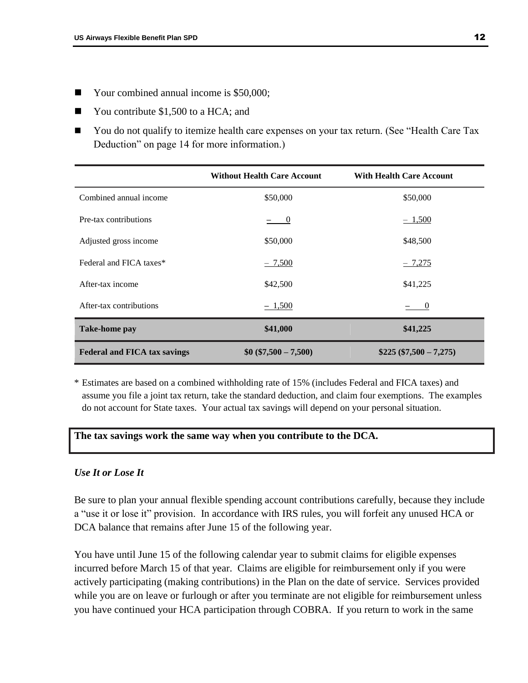- Your combined annual income is \$50,000;
- You contribute \$1,500 to a HCA; and
- You do not qualify to itemize health care expenses on your tax return. (See "Health Care Tax Deduction" on page 14 for more information.)

|                                     | <b>Without Health Care Account</b> | <b>With Health Care Account</b> |
|-------------------------------------|------------------------------------|---------------------------------|
| Combined annual income              | \$50,000                           | \$50,000                        |
| Pre-tax contributions               | $\sim 0$                           | $-1,500$                        |
| Adjusted gross income               | \$50,000                           | \$48,500                        |
| Federal and FICA taxes*             | $-7,500$                           | $-7,275$                        |
| After-tax income                    | \$42,500                           | \$41,225                        |
| After-tax contributions             | $-1,500$                           | $\hspace{1.6cm}0$               |
| <b>Take-home pay</b>                | \$41,000                           | \$41,225                        |
| <b>Federal and FICA tax savings</b> | $$0 ($7,500 - 7,500)$              | $$225 ($7,500 - 7,275)$         |

\* Estimates are based on a combined withholding rate of 15% (includes Federal and FICA taxes) and assume you file a joint tax return, take the standard deduction, and claim four exemptions. The examples do not account for State taxes. Your actual tax savings will depend on your personal situation.

# **The tax savings work the same way when you contribute to the DCA.**

# <span id="page-14-0"></span>*Use It or Lose It*

Be sure to plan your annual flexible spending account contributions carefully, because they include a "use it or lose it" provision. In accordance with IRS rules, you will forfeit any unused HCA or DCA balance that remains after June 15 of the following year.

You have until June 15 of the following calendar year to submit claims for eligible expenses incurred before March 15 of that year. Claims are eligible for reimbursement only if you were actively participating (making contributions) in the Plan on the date of service. Services provided while you are on leave or furlough or after you terminate are not eligible for reimbursement unless you have continued your HCA participation through COBRA. If you return to work in the same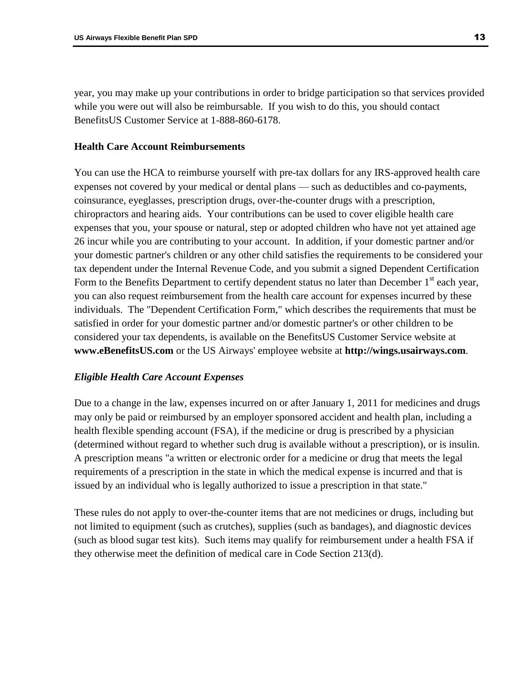year, you may make up your contributions in order to bridge participation so that services provided while you were out will also be reimbursable. If you wish to do this, you should contact BenefitsUS Customer Service at 1-888-860-6178.

# <span id="page-15-0"></span>**Health Care Account Reimbursements**

You can use the HCA to reimburse yourself with pre-tax dollars for any IRS-approved health care expenses not covered by your medical or dental plans — such as deductibles and co-payments, coinsurance, eyeglasses, prescription drugs, over-the-counter drugs with a prescription, chiropractors and hearing aids. Your contributions can be used to cover eligible health care expenses that you, your spouse or natural, step or adopted children who have not yet attained age 26 incur while you are contributing to your account. In addition, if your domestic partner and/or your domestic partner's children or any other child satisfies the requirements to be considered your tax dependent under the Internal Revenue Code, and you submit a signed Dependent Certification Form to the Benefits Department to certify dependent status no later than December  $1<sup>st</sup>$  each year, you can also request reimbursement from the health care account for expenses incurred by these individuals. The "Dependent Certification Form," which describes the requirements that must be satisfied in order for your domestic partner and/or domestic partner's or other children to be considered your tax dependents, is available on the BenefitsUS Customer Service website at **www.eBenefitsUS.com** or the US Airways' employee website at **http://wings.usairways.com**.

# <span id="page-15-1"></span>*Eligible Health Care Account Expenses*

Due to a change in the law, expenses incurred on or after January 1, 2011 for medicines and drugs may only be paid or reimbursed by an employer sponsored accident and health plan, including a health flexible spending account (FSA), if the medicine or drug is prescribed by a physician (determined without regard to whether such drug is available without a prescription), or is insulin. A prescription means "a written or electronic order for a medicine or drug that meets the legal requirements of a prescription in the state in which the medical expense is incurred and that is issued by an individual who is legally authorized to issue a prescription in that state."

These rules do not apply to over-the-counter items that are not medicines or drugs, including but not limited to equipment (such as crutches), supplies (such as bandages), and diagnostic devices (such as blood sugar test kits). Such items may qualify for reimbursement under a health FSA if they otherwise meet the definition of medical care in Code Section 213(d).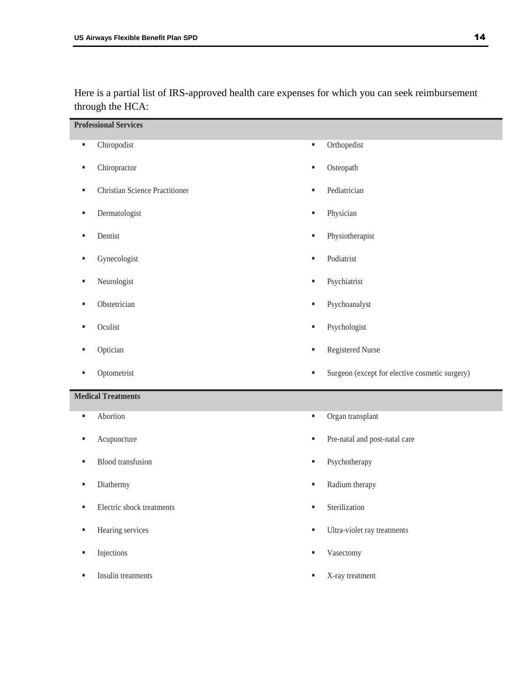Here is a partial list of IRS-approved health care expenses for which you can seek reimbursement through the HCA:

|    | <b>Professional Services</b>          |                |                                                |
|----|---------------------------------------|----------------|------------------------------------------------|
| a, | Chiropodist                           | $\blacksquare$ | Orthopedist                                    |
| ٠  | Chiropractor                          | ٠              | Osteopath                                      |
| ٠  | <b>Christian Science Practitioner</b> | ٠              | Pediatrician                                   |
| ٠  | Dermatologist                         | ٠              | Physician                                      |
| ٠  | Dentist                               | ٠              | Physiotherapist                                |
| ٠  | Gynecologist                          | ٠              | Podiatrist                                     |
| ٠  | Neurologist                           | ٠              | Psychiatrist                                   |
| ٠  | Obstetrician                          | ٠              | Psychoanalyst                                  |
| ٠  | Oculist                               | ٠              | Psychologist                                   |
| ٠  | Optician                              | ٠              | Registered Nurse                               |
|    |                                       |                |                                                |
| ٠  | Optometrist                           | ٠              | Surgeon (except for elective cosmetic surgery) |
|    | <b>Medical Treatments</b>             |                |                                                |
| ٠  | Abortion                              | ٠              | Organ transplant                               |
| ٠  | Acupuncture                           | ٠              | Pre-natal and post-natal care                  |
| ٠  | <b>Blood</b> transfusion              | ٠              | Psychotherapy                                  |
| ٠  | Diathermy                             | ٠              | Radium therapy                                 |
| ٠  | Electric shock treatments             | ٠              | Sterilization                                  |
| ٠  | Hearing services                      | ٠              | Ultra-violet ray treatments                    |
| ٠  | Injections                            | ٠              | Vasectomy                                      |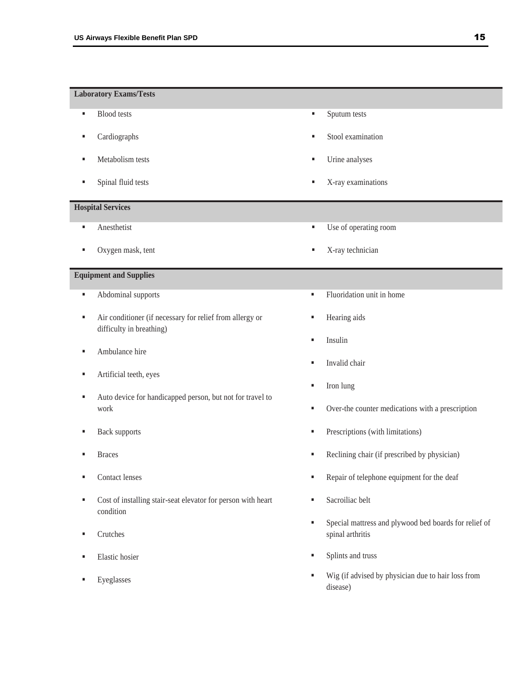#### **Laboratory Exams/Tests**

- **Blood tests**
- Cardiographs
- Metabolism tests
- **Spinal fluid tests**

#### **Hospital Services**

- **Anesthetist**
- Oxygen mask, tent

#### **Equipment and Supplies**

- **Abdominal supports**
- Air conditioner (if necessary for relief from allergy or difficulty in breathing)
- **Ambulance hire**
- Artificial teeth, eyes
- Auto device for handicapped person, but not for travel to work
- Back supports
- Braces
- Contact lenses
- Cost of installing stair-seat elevator for person with heart condition
- **Crutches**
- **Elastic hosier**
- Eyeglasses
- **Sputum tests**
- Stool examination
- Urine analyses
- X-ray examinations
- Use of operating room
- X-ray technician
- **Fluoridation unit in home**
- **Hearing aids**
- Insulin
- Invalid chair
- Iron lung
- Over-the counter medications with a prescription
- Prescriptions (with limitations)
- Reclining chair (if prescribed by physician)
- Repair of telephone equipment for the deaf
- **Sacroiliac belt**
- Special mattress and plywood bed boards for relief of spinal arthritis
- **Splints and truss**
- Wig (if advised by physician due to hair loss from disease)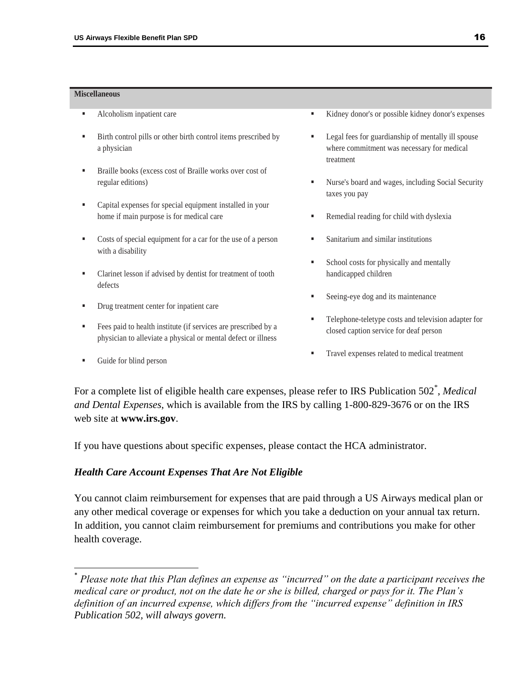#### **Miscellaneous**

- Alcoholism inpatient care
- Birth control pills or other birth control items prescribed by a physician
- Braille books (excess cost of Braille works over cost of regular editions)
- Capital expenses for special equipment installed in your home if main purpose is for medical care
- Costs of special equipment for a car for the use of a person with a disability
- Clarinet lesson if advised by dentist for treatment of tooth defects
- Drug treatment center for inpatient care
- Fees paid to health institute (if services are prescribed by a physician to alleviate a physical or mental defect or illness
- Guide for blind person

 $\overline{a}$ 

- Kidney donor's or possible kidney donor's expenses
- Legal fees for guardianship of mentally ill spouse where commitment was necessary for medical treatment
- Nurse's board and wages, including Social Security taxes you pay
- Remedial reading for child with dyslexia
- Sanitarium and similar institutions
- School costs for physically and mentally handicapped children
- **Seeing-eye dog and its maintenance**
- Telephone-teletype costs and television adapter for closed caption service for deaf person
- Travel expenses related to medical treatment

For a complete list of eligible health care expenses, please refer to IRS Publication 502<sup>\*</sup>, Medical *and Dental Expenses*, which is available from the IRS by calling 1-800-829-3676 or on the IRS web site at **www.irs.gov**.

If you have questions about specific expenses, please contact the HCA administrator.

#### <span id="page-18-0"></span>*Health Care Account Expenses That Are Not Eligible*

You cannot claim reimbursement for expenses that are paid through a US Airways medical plan or any other medical coverage or expenses for which you take a deduction on your annual tax return. In addition, you cannot claim reimbursement for premiums and contributions you make for other health coverage.

<sup>\*</sup> *Please note that this Plan defines an expense as "incurred" on the date a participant receives the medical care or product, not on the date he or she is billed, charged or pays for it. The Plan's definition of an incurred expense, which differs from the "incurred expense" definition in IRS Publication 502, will always govern.*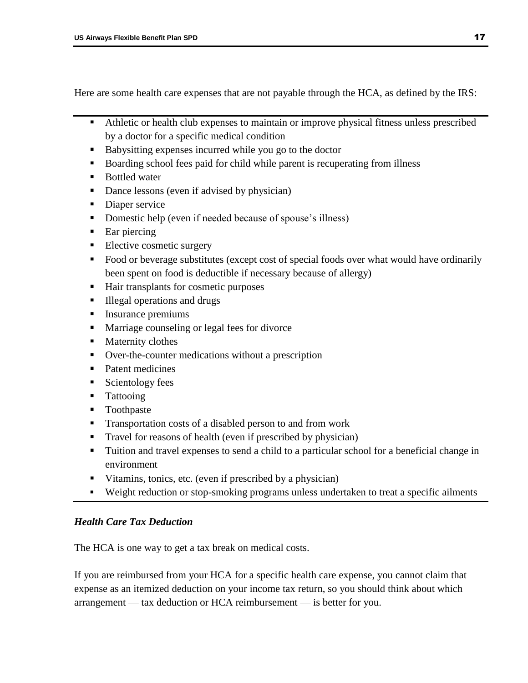Here are some health care expenses that are not payable through the HCA, as defined by the IRS:

- Athletic or health club expenses to maintain or improve physical fitness unless prescribed by a doctor for a specific medical condition
- Babysitting expenses incurred while you go to the doctor
- Boarding school fees paid for child while parent is recuperating from illness
- Bottled water
- Dance lessons (even if advised by physician)
- Diaper service
- Domestic help (even if needed because of spouse's illness)
- Ear piercing
- **Elective cosmetic surgery**
- Food or beverage substitutes (except cost of special foods over what would have ordinarily been spent on food is deductible if necessary because of allergy)
- Hair transplants for cosmetic purposes
- Illegal operations and drugs
- Insurance premiums
- Marriage counseling or legal fees for divorce
- **Maternity clothes**
- Over-the-counter medications without a prescription
- Patent medicines
- Scientology fees
- **Tattooing**
- **Toothpaste**
- Transportation costs of a disabled person to and from work
- Travel for reasons of health (even if prescribed by physician)
- Tuition and travel expenses to send a child to a particular school for a beneficial change in environment
- Vitamins, tonics, etc. (even if prescribed by a physician)
- Weight reduction or stop-smoking programs unless undertaken to treat a specific ailments

# <span id="page-19-0"></span>*Health Care Tax Deduction*

The HCA is one way to get a tax break on medical costs.

If you are reimbursed from your HCA for a specific health care expense, you cannot claim that expense as an itemized deduction on your income tax return, so you should think about which arrangement — tax deduction or HCA reimbursement — is better for you.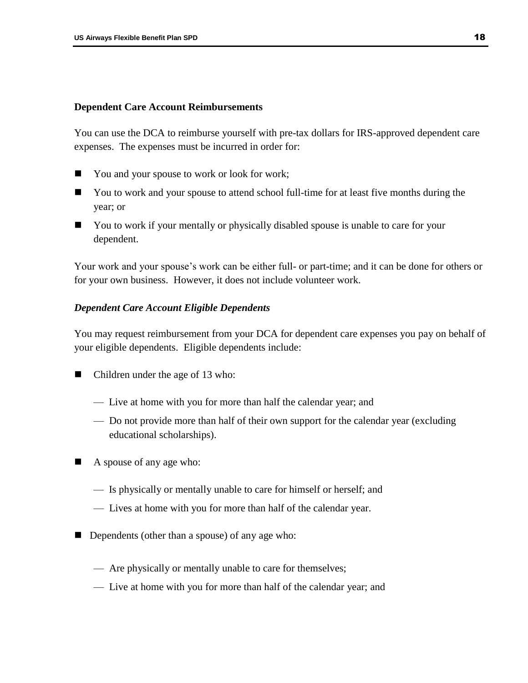# <span id="page-20-0"></span>**Dependent Care Account Reimbursements**

You can use the DCA to reimburse yourself with pre-tax dollars for IRS-approved dependent care expenses. The expenses must be incurred in order for:

- You and your spouse to work or look for work;
- You to work and your spouse to attend school full-time for at least five months during the year; or
- You to work if your mentally or physically disabled spouse is unable to care for your dependent.

Your work and your spouse's work can be either full- or part-time; and it can be done for others or for your own business. However, it does not include volunteer work.

# <span id="page-20-1"></span>*Dependent Care Account Eligible Dependents*

You may request reimbursement from your DCA for dependent care expenses you pay on behalf of your eligible dependents. Eligible dependents include:

- Children under the age of 13 who:
	- Live at home with you for more than half the calendar year; and
	- Do not provide more than half of their own support for the calendar year (excluding educational scholarships).
- A spouse of any age who:
	- Is physically or mentally unable to care for himself or herself; and
	- Lives at home with you for more than half of the calendar year.
- Dependents (other than a spouse) of any age who:
	- Are physically or mentally unable to care for themselves;
	- Live at home with you for more than half of the calendar year; and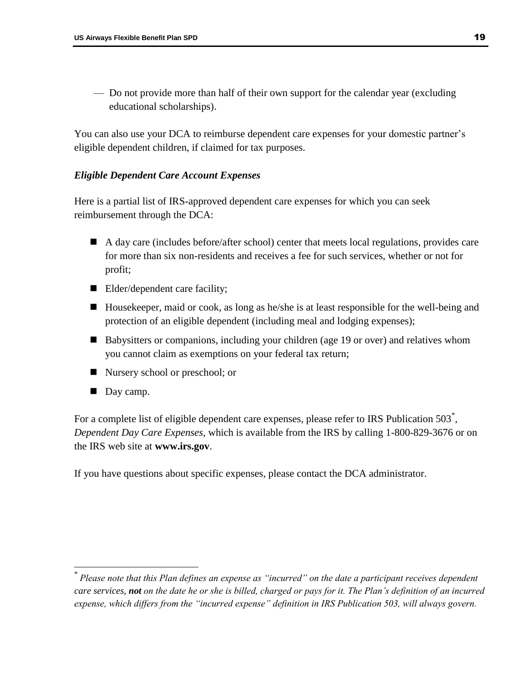— Do not provide more than half of their own support for the calendar year (excluding educational scholarships).

You can also use your DCA to reimburse dependent care expenses for your domestic partner's eligible dependent children, if claimed for tax purposes.

# <span id="page-21-0"></span>*Eligible Dependent Care Account Expenses*

Here is a partial list of IRS-approved dependent care expenses for which you can seek reimbursement through the DCA:

- A day care (includes before/after school) center that meets local regulations, provides care for more than six non-residents and receives a fee for such services, whether or not for profit;
- Elder/dependent care facility;
- Housekeeper, maid or cook, as long as he/she is at least responsible for the well-being and protection of an eligible dependent (including meal and lodging expenses);
- Babysitters or companions, including your children (age 19 or over) and relatives whom you cannot claim as exemptions on your federal tax return;
- Nursery school or preschool; or
- Day camp.

 $\overline{a}$ 

For a complete list of eligible dependent care expenses, please refer to IRS Publication 503<sup>\*</sup>, *Dependent Day Care Expenses*, which is available from the IRS by calling 1-800-829-3676 or on the IRS web site at **www.irs.gov**.

<span id="page-21-1"></span>If you have questions about specific expenses, please contact the DCA administrator.

<sup>\*</sup> *Please note that this Plan defines an expense as "incurred" on the date a participant receives dependent care services, not on the date he or she is billed, charged or pays for it. The Plan's definition of an incurred expense, which differs from the "incurred expense" definition in IRS Publication 503, will always govern.*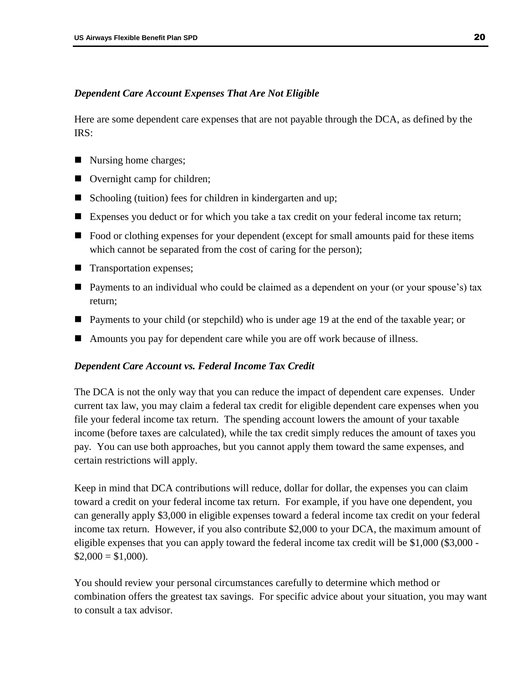# *Dependent Care Account Expenses That Are Not Eligible*

Here are some dependent care expenses that are not payable through the DCA, as defined by the IRS:

- Nursing home charges;
- Overnight camp for children;
- Schooling (tuition) fees for children in kindergarten and up;
- Expenses you deduct or for which you take a tax credit on your federal income tax return;
- Food or clothing expenses for your dependent (except for small amounts paid for these items which cannot be separated from the cost of caring for the person);
- **Transportation expenses;**
- Payments to an individual who could be claimed as a dependent on your (or your spouse's) tax return;
- Payments to your child (or stepchild) who is under age 19 at the end of the taxable year; or
- Amounts you pay for dependent care while you are off work because of illness.

# <span id="page-22-0"></span>*Dependent Care Account vs. Federal Income Tax Credit*

The DCA is not the only way that you can reduce the impact of dependent care expenses. Under current tax law, you may claim a federal tax credit for eligible dependent care expenses when you file your federal income tax return. The spending account lowers the amount of your taxable income (before taxes are calculated), while the tax credit simply reduces the amount of taxes you pay. You can use both approaches, but you cannot apply them toward the same expenses, and certain restrictions will apply.

Keep in mind that DCA contributions will reduce, dollar for dollar, the expenses you can claim toward a credit on your federal income tax return. For example, if you have one dependent, you can generally apply \$3,000 in eligible expenses toward a federal income tax credit on your federal income tax return. However, if you also contribute \$2,000 to your DCA, the maximum amount of eligible expenses that you can apply toward the federal income tax credit will be \$1,000 (\$3,000 - $$2,000 = $1,000$ .

You should review your personal circumstances carefully to determine which method or combination offers the greatest tax savings. For specific advice about your situation, you may want to consult a tax advisor.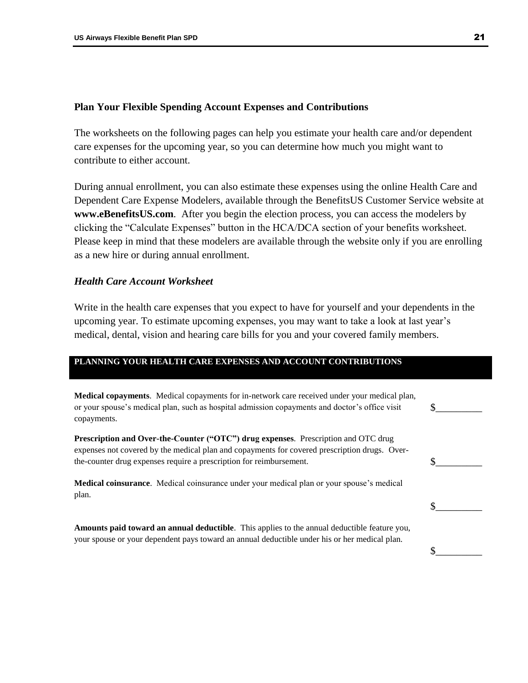#### <span id="page-23-0"></span>**Plan Your Flexible Spending Account Expenses and Contributions**

The worksheets on the following pages can help you estimate your health care and/or dependent care expenses for the upcoming year, so you can determine how much you might want to contribute to either account.

During annual enrollment, you can also estimate these expenses using the online Health Care and Dependent Care Expense Modelers, available through the BenefitsUS Customer Service website at **www.eBenefitsUS.com**. After you begin the election process, you can access the modelers by clicking the "Calculate Expenses" button in the HCA/DCA section of your benefits worksheet. Please keep in mind that these modelers are available through the website only if you are enrolling as a new hire or during annual enrollment.

# <span id="page-23-1"></span>*Health Care Account Worksheet*

Write in the health care expenses that you expect to have for yourself and your dependents in the upcoming year. To estimate upcoming expenses, you may want to take a look at last year's medical, dental, vision and hearing care bills for you and your covered family members.

### **PLANNING YOUR HEALTH CARE EXPENSES AND ACCOUNT CONTRIBUTIONS**

| <b>Medical copayments.</b> Medical copayments for in-network care received under your medical plan,<br>or your spouse's medical plan, such as hospital admission copayments and doctor's office visit<br>copayments.                                       |  |
|------------------------------------------------------------------------------------------------------------------------------------------------------------------------------------------------------------------------------------------------------------|--|
| Prescription and Over-the-Counter ("OTC") drug expenses. Prescription and OTC drug<br>expenses not covered by the medical plan and copayments for covered prescription drugs. Over-<br>the-counter drug expenses require a prescription for reimbursement. |  |
| <b>Medical coinsurance</b> . Medical coinsurance under your medical plan or your spouse's medical<br>plan.                                                                                                                                                 |  |
| Amounts paid toward an annual deductible. This applies to the annual deductible feature you,<br>your spouse or your dependent pays toward an annual deductible under his or her medical plan.                                                              |  |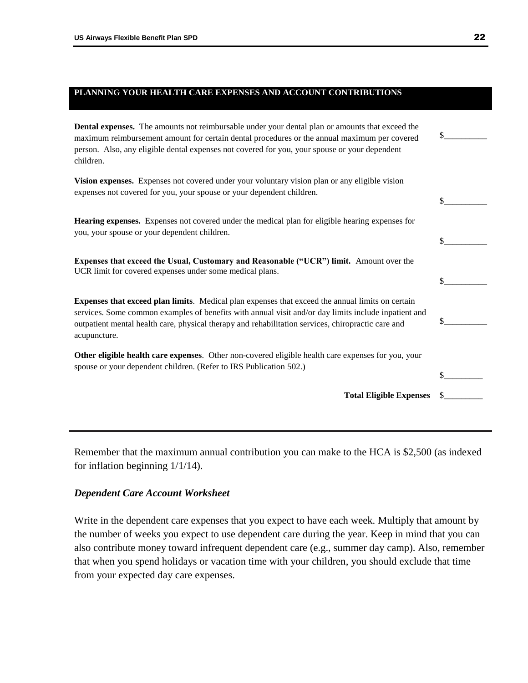# **PLANNING YOUR HEALTH CARE EXPENSES AND ACCOUNT CONTRIBUTIONS**

**Dental expenses.** The amounts not reimbursable under your dental plan or amounts that exceed the maximum reimbursement amount for certain dental procedures or the annual maximum per covered person. Also, any eligible dental expenses not covered for you, your spouse or your dependent children.

**Vision expenses.** Expenses not covered under your voluntary vision plan or any eligible vision expenses not covered for you, your spouse or your dependent children.

| <b>Hearing expenses.</b> Expenses not covered under the medical plan for eligible hearing expenses for |
|--------------------------------------------------------------------------------------------------------|
| you, your spouse or your dependent children.                                                           |

**Expenses that exceed the Usual, Customary and Reasonable ("UCR") limit.** Amount over the UCR limit for covered expenses under some medical plans.

**Expenses that exceed plan limits**. Medical plan expenses that exceed the annual limits on certain services. Some common examples of benefits with annual visit and/or day limits include inpatient and outpatient mental health care, physical therapy and rehabilitation services, chiropractic care and acupuncture.

**Other eligible health care expenses**. Other non-covered eligible health care expenses for you, your spouse or your dependent children. (Refer to IRS Publication 502.)

Remember that the maximum annual contribution you can make to the HCA is \$2,500 (as indexed for inflation beginning 1/1/14).

#### <span id="page-24-0"></span>*Dependent Care Account Worksheet*

Write in the dependent care expenses that you expect to have each week. Multiply that amount by the number of weeks you expect to use dependent care during the year. Keep in mind that you can also contribute money toward infrequent dependent care (e.g., summer day camp). Also, remember that when you spend holidays or vacation time with your children, you should exclude that time from your expected day care expenses.

 $\frac{\S_{\_}}{\S_{\_}}$ 

 $\mathbb{S}$ 

 $\mathbb S$ 

 $\mathbb S$ 

 $\mathbb S$ 

 $\mathbb S$ 

**Total Eligible Expenses** \$\_\_\_\_\_\_\_\_\_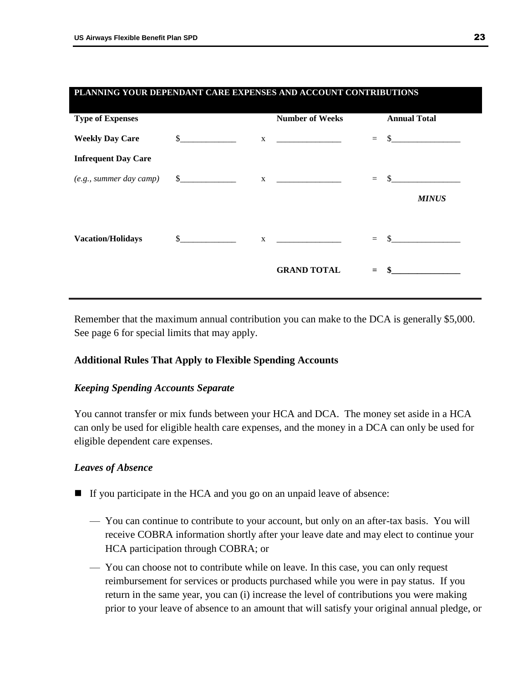| PLANNING YOUR DEPENDANT CARE EXPENSES AND ACCOUNT CONTRIBUTIONS |               |  |                        |     |                     |  |
|-----------------------------------------------------------------|---------------|--|------------------------|-----|---------------------|--|
| <b>Type of Expenses</b>                                         |               |  | <b>Number of Weeks</b> |     | <b>Annual Total</b> |  |
| <b>Weekly Day Care</b>                                          | $\sim$        |  | $\mathbf X$            | $=$ | $\mathbb{S}$        |  |
| <b>Infrequent Day Care</b>                                      |               |  |                        |     |                     |  |
| $(e.g., summer day camp)$ \$                                    |               |  | $\mathbf X$            | $=$ |                     |  |
|                                                                 |               |  |                        |     | <b>MINUS</b>        |  |
| <b>Vacation/Holidays</b>                                        | $\frac{1}{2}$ |  | $X \sim$               |     | $=$ \$              |  |
|                                                                 |               |  | <b>GRAND TOTAL</b>     |     | $=$ \$              |  |
|                                                                 |               |  |                        |     |                     |  |

Remember that the maximum annual contribution you can make to the DCA is generally \$5,000. See page 6 for special limits that may apply.

# <span id="page-25-0"></span>**Additional Rules That Apply to Flexible Spending Accounts**

# <span id="page-25-1"></span>*Keeping Spending Accounts Separate*

You cannot transfer or mix funds between your HCA and DCA. The money set aside in a HCA can only be used for eligible health care expenses, and the money in a DCA can only be used for eligible dependent care expenses.

# <span id="page-25-2"></span>*Leaves of Absence*

- If you participate in the HCA and you go on an unpaid leave of absence:
	- You can continue to contribute to your account, but only on an after-tax basis. You will receive COBRA information shortly after your leave date and may elect to continue your HCA participation through COBRA; or
	- You can choose not to contribute while on leave. In this case, you can only request reimbursement for services or products purchased while you were in pay status. If you return in the same year, you can (i) increase the level of contributions you were making prior to your leave of absence to an amount that will satisfy your original annual pledge, or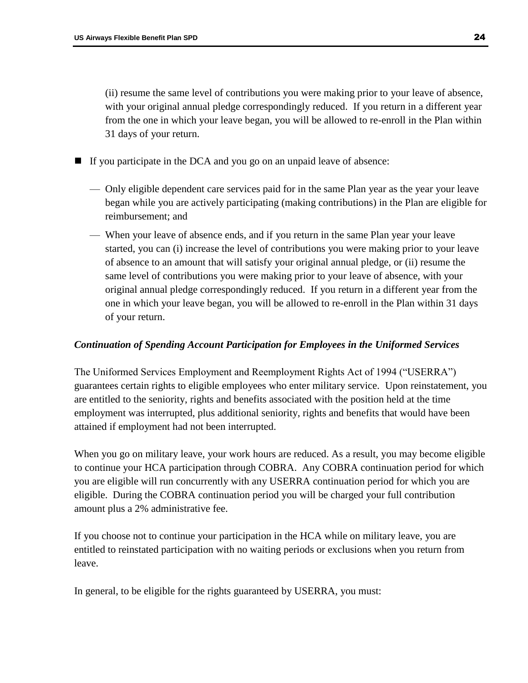(ii) resume the same level of contributions you were making prior to your leave of absence, with your original annual pledge correspondingly reduced. If you return in a different year from the one in which your leave began, you will be allowed to re-enroll in the Plan within 31 days of your return.

If you participate in the DCA and you go on an unpaid leave of absence:

- Only eligible dependent care services paid for in the same Plan year as the year your leave began while you are actively participating (making contributions) in the Plan are eligible for reimbursement; and
- When your leave of absence ends, and if you return in the same Plan year your leave started, you can (i) increase the level of contributions you were making prior to your leave of absence to an amount that will satisfy your original annual pledge, or (ii) resume the same level of contributions you were making prior to your leave of absence, with your original annual pledge correspondingly reduced. If you return in a different year from the one in which your leave began, you will be allowed to re-enroll in the Plan within 31 days of your return.

# <span id="page-26-0"></span>*Continuation of Spending Account Participation for Employees in the Uniformed Services*

The Uniformed Services Employment and Reemployment Rights Act of 1994 ("USERRA") guarantees certain rights to eligible employees who enter military service. Upon reinstatement, you are entitled to the seniority, rights and benefits associated with the position held at the time employment was interrupted, plus additional seniority, rights and benefits that would have been attained if employment had not been interrupted.

When you go on military leave, your work hours are reduced. As a result, you may become eligible to continue your HCA participation through COBRA. Any COBRA continuation period for which you are eligible will run concurrently with any USERRA continuation period for which you are eligible. During the COBRA continuation period you will be charged your full contribution amount plus a 2% administrative fee.

If you choose not to continue your participation in the HCA while on military leave, you are entitled to reinstated participation with no waiting periods or exclusions when you return from leave.

In general, to be eligible for the rights guaranteed by USERRA, you must: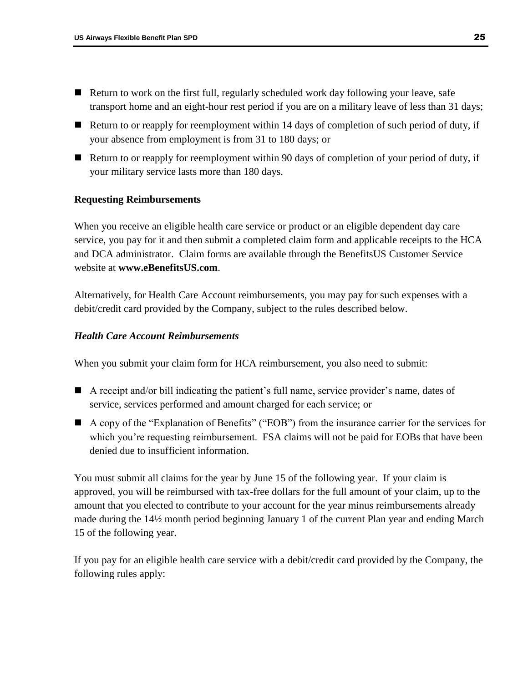- Return to work on the first full, regularly scheduled work day following your leave, safe transport home and an eight-hour rest period if you are on a military leave of less than 31 days;
- Return to or reapply for reemployment within 14 days of completion of such period of duty, if your absence from employment is from 31 to 180 days; or
- Return to or reapply for reemployment within 90 days of completion of your period of duty, if your military service lasts more than 180 days.

# <span id="page-27-0"></span>**Requesting Reimbursements**

When you receive an eligible health care service or product or an eligible dependent day care service, you pay for it and then submit a completed claim form and applicable receipts to the HCA and DCA administrator. Claim forms are available through the BenefitsUS Customer Service website at **www.eBenefitsUS.com**.

Alternatively, for Health Care Account reimbursements, you may pay for such expenses with a debit/credit card provided by the Company, subject to the rules described below.

# <span id="page-27-1"></span>*Health Care Account Reimbursements*

When you submit your claim form for HCA reimbursement, you also need to submit:

- A receipt and/or bill indicating the patient's full name, service provider's name, dates of service, services performed and amount charged for each service; or
- A copy of the "Explanation of Benefits" ("EOB") from the insurance carrier for the services for which you're requesting reimbursement. FSA claims will not be paid for EOBs that have been denied due to insufficient information.

You must submit all claims for the year by June 15 of the following year. If your claim is approved, you will be reimbursed with tax-free dollars for the full amount of your claim, up to the amount that you elected to contribute to your account for the year minus reimbursements already made during the 14½ month period beginning January 1 of the current Plan year and ending March 15 of the following year.

If you pay for an eligible health care service with a debit/credit card provided by the Company, the following rules apply: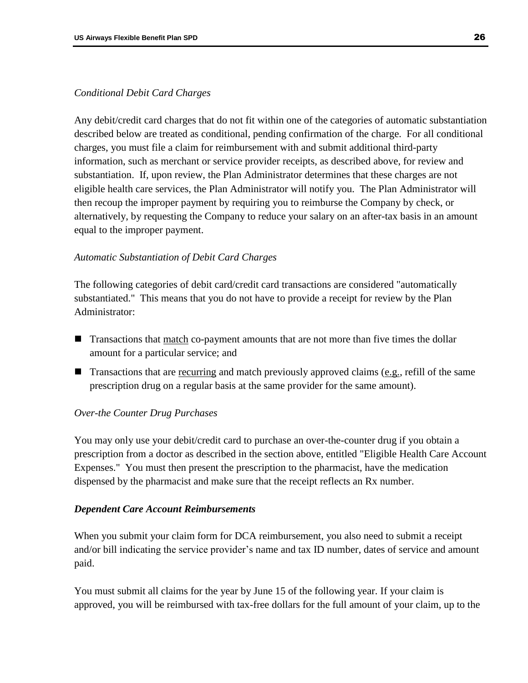# *Conditional Debit Card Charges*

Any debit/credit card charges that do not fit within one of the categories of automatic substantiation described below are treated as conditional, pending confirmation of the charge. For all conditional charges, you must file a claim for reimbursement with and submit additional third-party information, such as merchant or service provider receipts, as described above, for review and substantiation. If, upon review, the Plan Administrator determines that these charges are not eligible health care services, the Plan Administrator will notify you. The Plan Administrator will then recoup the improper payment by requiring you to reimburse the Company by check, or alternatively, by requesting the Company to reduce your salary on an after-tax basis in an amount equal to the improper payment.

# *Automatic Substantiation of Debit Card Charges*

The following categories of debit card/credit card transactions are considered "automatically substantiated." This means that you do not have to provide a receipt for review by the Plan Administrator:

- **Transactions that match co-payment amounts that are not more than five times the dollar** amount for a particular service; and
- **Transactions that are recurring and match previously approved claims (e.g., refill of the same** prescription drug on a regular basis at the same provider for the same amount).

# *Over-the Counter Drug Purchases*

You may only use your debit/credit card to purchase an over-the-counter drug if you obtain a prescription from a doctor as described in the section above, entitled "Eligible Health Care Account Expenses." You must then present the prescription to the pharmacist, have the medication dispensed by the pharmacist and make sure that the receipt reflects an Rx number.

# <span id="page-28-0"></span>*Dependent Care Account Reimbursements*

When you submit your claim form for DCA reimbursement, you also need to submit a receipt and/or bill indicating the service provider's name and tax ID number, dates of service and amount paid.

You must submit all claims for the year by June 15 of the following year. If your claim is approved, you will be reimbursed with tax-free dollars for the full amount of your claim, up to the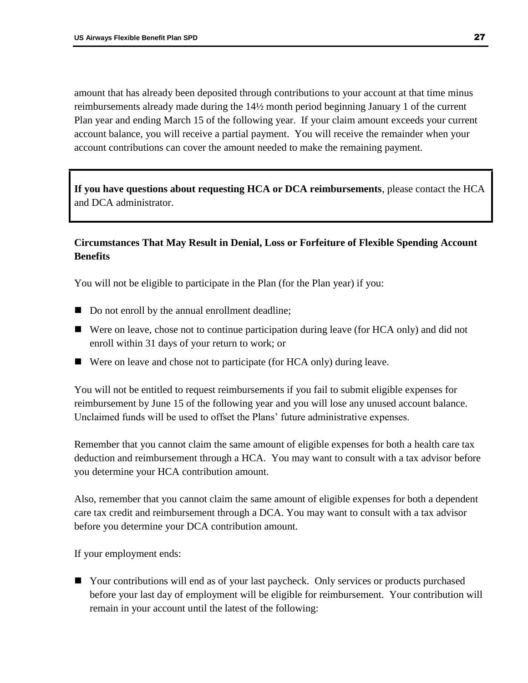amount that has already been deposited through contributions to your account at that time minus reimbursements already made during the 14½ month period beginning January 1 of the current Plan year and ending March 15 of the following year. If your claim amount exceeds your current account balance, you will receive a partial payment. You will receive the remainder when your account contributions can cover the amount needed to make the remaining payment.

**If you have questions about requesting HCA or DCA reimbursements**, please contact the HCA and DCA administrator.

# <span id="page-29-0"></span>**Circumstances That May Result in Denial, Loss or Forfeiture of Flexible Spending Account Benefits**

You will not be eligible to participate in the Plan (for the Plan year) if you:

- Do not enroll by the annual enrollment deadline;
- Were on leave, chose not to continue participation during leave (for HCA only) and did not enroll within 31 days of your return to work; or
- Were on leave and chose not to participate (for HCA only) during leave.

You will not be entitled to request reimbursements if you fail to submit eligible expenses for reimbursement by June 15 of the following year and you will lose any unused account balance. Unclaimed funds will be used to offset the Plans' future administrative expenses.

Remember that you cannot claim the same amount of eligible expenses for both a health care tax deduction and reimbursement through a HCA. You may want to consult with a tax advisor before you determine your HCA contribution amount.

Also, remember that you cannot claim the same amount of eligible expenses for both a dependent care tax credit and reimbursement through a DCA. You may want to consult with a tax advisor before you determine your DCA contribution amount.

If your employment ends:

 Your contributions will end as of your last paycheck. Only services or products purchased before your last day of employment will be eligible for reimbursement. Your contribution will remain in your account until the latest of the following: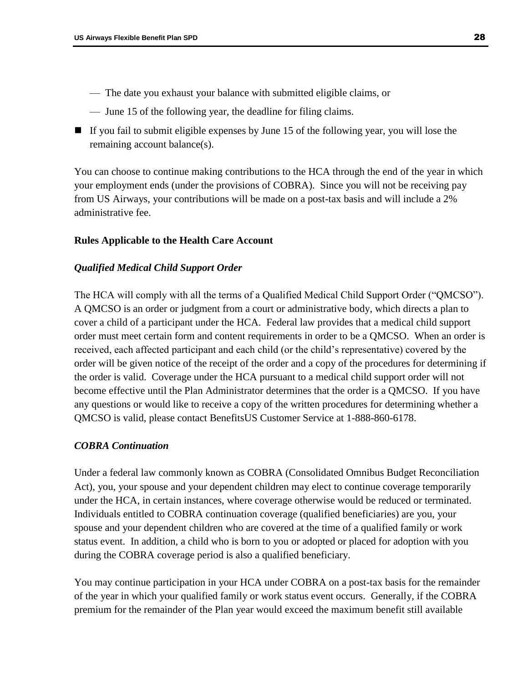- The date you exhaust your balance with submitted eligible claims, or
- June 15 of the following year, the deadline for filing claims.
- If you fail to submit eligible expenses by June 15 of the following year, you will lose the remaining account balance(s).

You can choose to continue making contributions to the HCA through the end of the year in which your employment ends (under the provisions of COBRA). Since you will not be receiving pay from US Airways, your contributions will be made on a post-tax basis and will include a 2% administrative fee.

# <span id="page-30-0"></span>**Rules Applicable to the Health Care Account**

# <span id="page-30-1"></span>*Qualified Medical Child Support Order*

The HCA will comply with all the terms of a Qualified Medical Child Support Order ("QMCSO"). A QMCSO is an order or judgment from a court or administrative body, which directs a plan to cover a child of a participant under the HCA. Federal law provides that a medical child support order must meet certain form and content requirements in order to be a QMCSO. When an order is received, each affected participant and each child (or the child's representative) covered by the order will be given notice of the receipt of the order and a copy of the procedures for determining if the order is valid. Coverage under the HCA pursuant to a medical child support order will not become effective until the Plan Administrator determines that the order is a QMCSO. If you have any questions or would like to receive a copy of the written procedures for determining whether a QMCSO is valid, please contact BenefitsUS Customer Service at 1-888-860-6178.

# <span id="page-30-2"></span>*COBRA Continuation*

Under a federal law commonly known as COBRA (Consolidated Omnibus Budget Reconciliation Act), you, your spouse and your dependent children may elect to continue coverage temporarily under the HCA, in certain instances, where coverage otherwise would be reduced or terminated. Individuals entitled to COBRA continuation coverage (qualified beneficiaries) are you, your spouse and your dependent children who are covered at the time of a qualified family or work status event. In addition, a child who is born to you or adopted or placed for adoption with you during the COBRA coverage period is also a qualified beneficiary.

You may continue participation in your HCA under COBRA on a post-tax basis for the remainder of the year in which your qualified family or work status event occurs. Generally, if the COBRA premium for the remainder of the Plan year would exceed the maximum benefit still available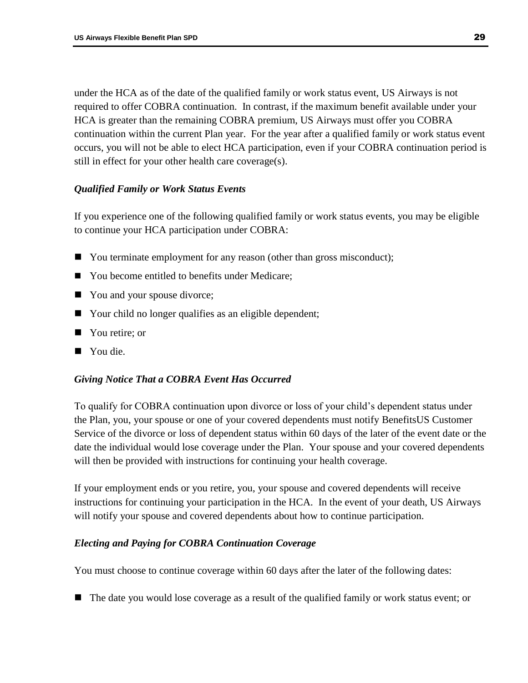under the HCA as of the date of the qualified family or work status event, US Airways is not required to offer COBRA continuation. In contrast, if the maximum benefit available under your HCA is greater than the remaining COBRA premium, US Airways must offer you COBRA continuation within the current Plan year. For the year after a qualified family or work status event occurs, you will not be able to elect HCA participation, even if your COBRA continuation period is still in effect for your other health care coverage(s).

# <span id="page-31-0"></span>*Qualified Family or Work Status Events*

If you experience one of the following qualified family or work status events, you may be eligible to continue your HCA participation under COBRA:

- You terminate employment for any reason (other than gross misconduct);
- You become entitled to benefits under Medicare;
- You and your spouse divorce;
- Your child no longer qualifies as an eligible dependent;
- You retire; or
- You die.

# <span id="page-31-1"></span>*Giving Notice That a COBRA Event Has Occurred*

To qualify for COBRA continuation upon divorce or loss of your child's dependent status under the Plan, you, your spouse or one of your covered dependents must notify BenefitsUS Customer Service of the divorce or loss of dependent status within 60 days of the later of the event date or the date the individual would lose coverage under the Plan. Your spouse and your covered dependents will then be provided with instructions for continuing your health coverage.

If your employment ends or you retire, you, your spouse and covered dependents will receive instructions for continuing your participation in the HCA. In the event of your death, US Airways will notify your spouse and covered dependents about how to continue participation.

# <span id="page-31-2"></span>*Electing and Paying for COBRA Continuation Coverage*

You must choose to continue coverage within 60 days after the later of the following dates:

The date you would lose coverage as a result of the qualified family or work status event; or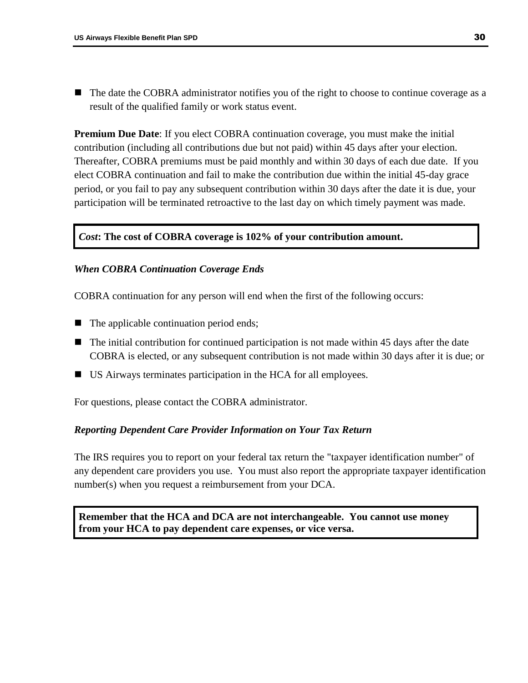The date the COBRA administrator notifies you of the right to choose to continue coverage as a result of the qualified family or work status event.

**Premium Due Date**: If you elect COBRA continuation coverage, you must make the initial contribution (including all contributions due but not paid) within 45 days after your election. Thereafter, COBRA premiums must be paid monthly and within 30 days of each due date. If you elect COBRA continuation and fail to make the contribution due within the initial 45-day grace period, or you fail to pay any subsequent contribution within 30 days after the date it is due, your participation will be terminated retroactive to the last day on which timely payment was made.

# *Cost***: The cost of COBRA coverage is 102% of your contribution amount.**

### <span id="page-32-0"></span>*When COBRA Continuation Coverage Ends*

COBRA continuation for any person will end when the first of the following occurs:

- The applicable continuation period ends;
- $\blacksquare$  The initial contribution for continued participation is not made within 45 days after the date COBRA is elected, or any subsequent contribution is not made within 30 days after it is due; or
- US Airways terminates participation in the HCA for all employees.

For questions, please contact the COBRA administrator.

#### <span id="page-32-1"></span>*Reporting Dependent Care Provider Information on Your Tax Return*

The IRS requires you to report on your federal tax return the "taxpayer identification number" of any dependent care providers you use. You must also report the appropriate taxpayer identification number(s) when you request a reimbursement from your DCA.

<span id="page-32-2"></span>**Remember that the HCA and DCA are not interchangeable. You cannot use money from your HCA to pay dependent care expenses, or vice versa.**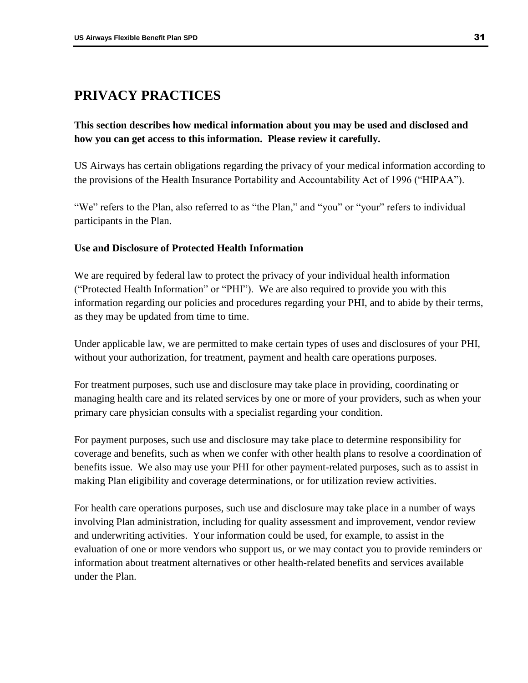# **PRIVACY PRACTICES**

# **This section describes how medical information about you may be used and disclosed and how you can get access to this information. Please review it carefully.**

US Airways has certain obligations regarding the privacy of your medical information according to the provisions of the Health Insurance Portability and Accountability Act of 1996 ("HIPAA").

"We" refers to the Plan, also referred to as "the Plan," and "you" or "your" refers to individual participants in the Plan.

# <span id="page-33-0"></span>**Use and Disclosure of Protected Health Information**

We are required by federal law to protect the privacy of your individual health information ("Protected Health Information" or "PHI"). We are also required to provide you with this information regarding our policies and procedures regarding your PHI, and to abide by their terms, as they may be updated from time to time.

Under applicable law, we are permitted to make certain types of uses and disclosures of your PHI, without your authorization, for treatment, payment and health care operations purposes.

For treatment purposes, such use and disclosure may take place in providing, coordinating or managing health care and its related services by one or more of your providers, such as when your primary care physician consults with a specialist regarding your condition.

For payment purposes, such use and disclosure may take place to determine responsibility for coverage and benefits, such as when we confer with other health plans to resolve a coordination of benefits issue. We also may use your PHI for other payment-related purposes, such as to assist in making Plan eligibility and coverage determinations, or for utilization review activities.

For health care operations purposes, such use and disclosure may take place in a number of ways involving Plan administration, including for quality assessment and improvement, vendor review and underwriting activities. Your information could be used, for example, to assist in the evaluation of one or more vendors who support us, or we may contact you to provide reminders or information about treatment alternatives or other health-related benefits and services available under the Plan.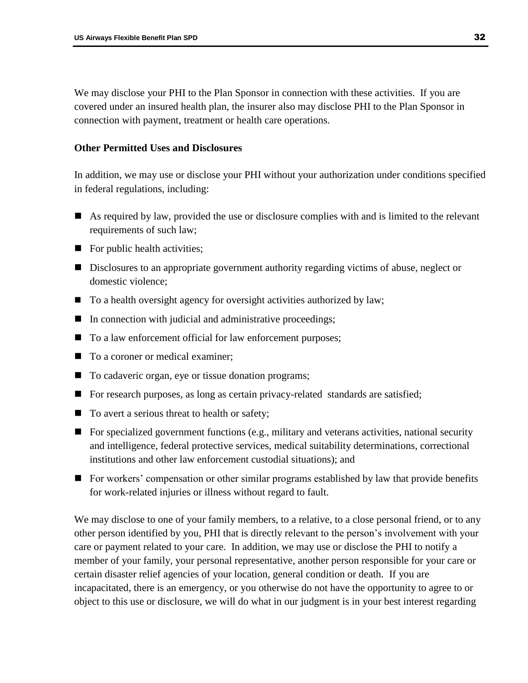We may disclose your PHI to the Plan Sponsor in connection with these activities. If you are covered under an insured health plan, the insurer also may disclose PHI to the Plan Sponsor in connection with payment, treatment or health care operations.

# <span id="page-34-0"></span>**Other Permitted Uses and Disclosures**

In addition, we may use or disclose your PHI without your authorization under conditions specified in federal regulations, including:

- As required by law, provided the use or disclosure complies with and is limited to the relevant requirements of such law;
- $\blacksquare$  For public health activities;
- Disclosures to an appropriate government authority regarding victims of abuse, neglect or domestic violence;
- To a health oversight agency for oversight activities authorized by law;
- $\blacksquare$  In connection with judicial and administrative proceedings;
- To a law enforcement official for law enforcement purposes;
- To a coroner or medical examiner;
- To cadaveric organ, eye or tissue donation programs;
- For research purposes, as long as certain privacy-related standards are satisfied;
- To avert a serious threat to health or safety;
- For specialized government functions (e.g., military and veterans activities, national security and intelligence, federal protective services, medical suitability determinations, correctional institutions and other law enforcement custodial situations); and
- For workers' compensation or other similar programs established by law that provide benefits for work-related injuries or illness without regard to fault.

We may disclose to one of your family members, to a relative, to a close personal friend, or to any other person identified by you, PHI that is directly relevant to the person's involvement with your care or payment related to your care. In addition, we may use or disclose the PHI to notify a member of your family, your personal representative, another person responsible for your care or certain disaster relief agencies of your location, general condition or death. If you are incapacitated, there is an emergency, or you otherwise do not have the opportunity to agree to or object to this use or disclosure, we will do what in our judgment is in your best interest regarding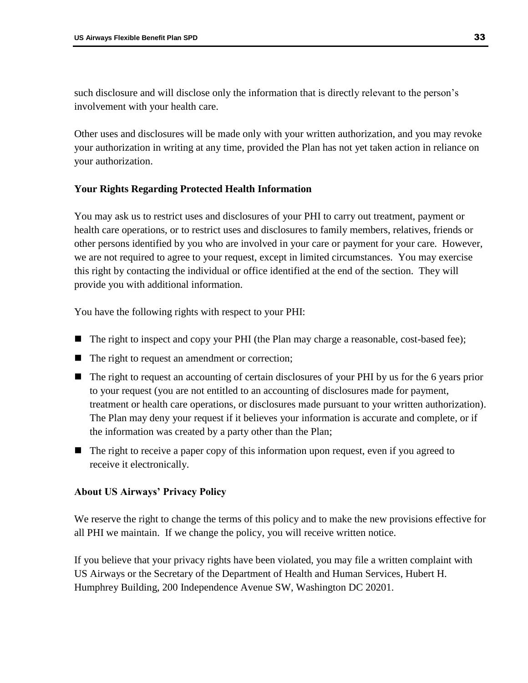such disclosure and will disclose only the information that is directly relevant to the person's involvement with your health care.

Other uses and disclosures will be made only with your written authorization, and you may revoke your authorization in writing at any time, provided the Plan has not yet taken action in reliance on your authorization.

# <span id="page-35-0"></span>**Your Rights Regarding Protected Health Information**

You may ask us to restrict uses and disclosures of your PHI to carry out treatment, payment or health care operations, or to restrict uses and disclosures to family members, relatives, friends or other persons identified by you who are involved in your care or payment for your care. However, we are not required to agree to your request, except in limited circumstances. You may exercise this right by contacting the individual or office identified at the end of the section. They will provide you with additional information.

You have the following rights with respect to your PHI:

- The right to inspect and copy your PHI (the Plan may charge a reasonable, cost-based fee);
- The right to request an amendment or correction;
- The right to request an accounting of certain disclosures of your PHI by us for the 6 years prior to your request (you are not entitled to an accounting of disclosures made for payment, treatment or health care operations, or disclosures made pursuant to your written authorization). The Plan may deny your request if it believes your information is accurate and complete, or if the information was created by a party other than the Plan;
- The right to receive a paper copy of this information upon request, even if you agreed to receive it electronically.

# <span id="page-35-1"></span>**About US Airways' Privacy Policy**

We reserve the right to change the terms of this policy and to make the new provisions effective for all PHI we maintain. If we change the policy, you will receive written notice.

If you believe that your privacy rights have been violated, you may file a written complaint with US Airways or the Secretary of the Department of Health and Human Services, Hubert H. Humphrey Building, 200 Independence Avenue SW, Washington DC 20201.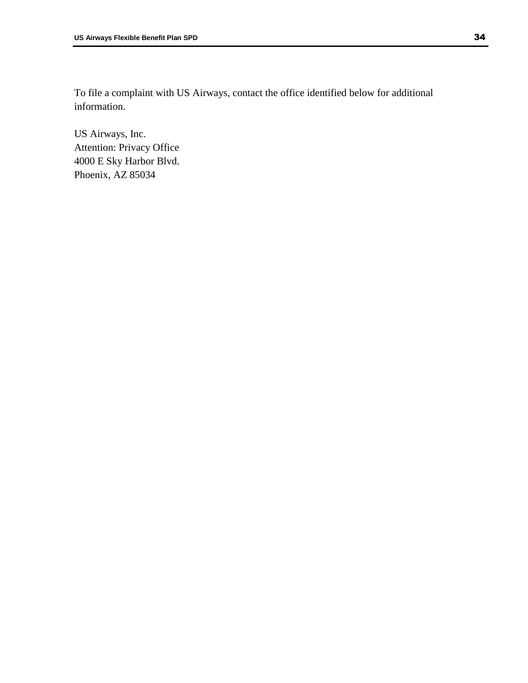To file a complaint with US Airways, contact the office identified below for additional information.

US Airways, Inc. Attention: Privacy Office 4000 E Sky Harbor Blvd. Phoenix, AZ 85034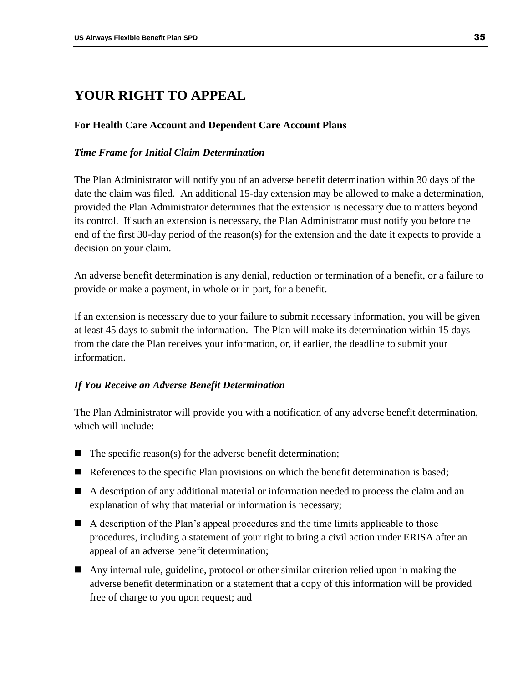# <span id="page-37-0"></span>**YOUR RIGHT TO APPEAL**

# <span id="page-37-1"></span>**For Health Care Account and Dependent Care Account Plans**

# <span id="page-37-2"></span>*Time Frame for Initial Claim Determination*

The Plan Administrator will notify you of an adverse benefit determination within 30 days of the date the claim was filed. An additional 15-day extension may be allowed to make a determination, provided the Plan Administrator determines that the extension is necessary due to matters beyond its control. If such an extension is necessary, the Plan Administrator must notify you before the end of the first 30-day period of the reason(s) for the extension and the date it expects to provide a decision on your claim.

An adverse benefit determination is any denial, reduction or termination of a benefit, or a failure to provide or make a payment, in whole or in part, for a benefit.

If an extension is necessary due to your failure to submit necessary information, you will be given at least 45 days to submit the information. The Plan will make its determination within 15 days from the date the Plan receives your information, or, if earlier, the deadline to submit your information.

# <span id="page-37-3"></span>*If You Receive an Adverse Benefit Determination*

The Plan Administrator will provide you with a notification of any adverse benefit determination, which will include:

- $\blacksquare$  The specific reason(s) for the adverse benefit determination;
- References to the specific Plan provisions on which the benefit determination is based;
- A description of any additional material or information needed to process the claim and an explanation of why that material or information is necessary;
- A description of the Plan's appeal procedures and the time limits applicable to those procedures, including a statement of your right to bring a civil action under ERISA after an appeal of an adverse benefit determination;
- Any internal rule, guideline, protocol or other similar criterion relied upon in making the adverse benefit determination or a statement that a copy of this information will be provided free of charge to you upon request; and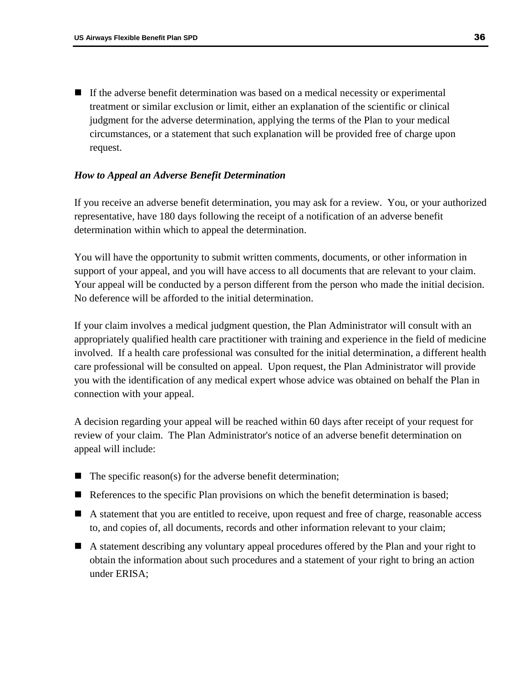If the adverse benefit determination was based on a medical necessity or experimental treatment or similar exclusion or limit, either an explanation of the scientific or clinical judgment for the adverse determination, applying the terms of the Plan to your medical circumstances, or a statement that such explanation will be provided free of charge upon request.

## <span id="page-38-0"></span>*How to Appeal an Adverse Benefit Determination*

If you receive an adverse benefit determination, you may ask for a review. You, or your authorized representative, have 180 days following the receipt of a notification of an adverse benefit determination within which to appeal the determination.

You will have the opportunity to submit written comments, documents, or other information in support of your appeal, and you will have access to all documents that are relevant to your claim. Your appeal will be conducted by a person different from the person who made the initial decision. No deference will be afforded to the initial determination.

If your claim involves a medical judgment question, the Plan Administrator will consult with an appropriately qualified health care practitioner with training and experience in the field of medicine involved. If a health care professional was consulted for the initial determination, a different health care professional will be consulted on appeal. Upon request, the Plan Administrator will provide you with the identification of any medical expert whose advice was obtained on behalf the Plan in connection with your appeal.

A decision regarding your appeal will be reached within 60 days after receipt of your request for review of your claim. The Plan Administrator's notice of an adverse benefit determination on appeal will include:

- $\blacksquare$  The specific reason(s) for the adverse benefit determination;
- References to the specific Plan provisions on which the benefit determination is based;
- A statement that you are entitled to receive, upon request and free of charge, reasonable access to, and copies of, all documents, records and other information relevant to your claim;
- A statement describing any voluntary appeal procedures offered by the Plan and your right to obtain the information about such procedures and a statement of your right to bring an action under ERISA;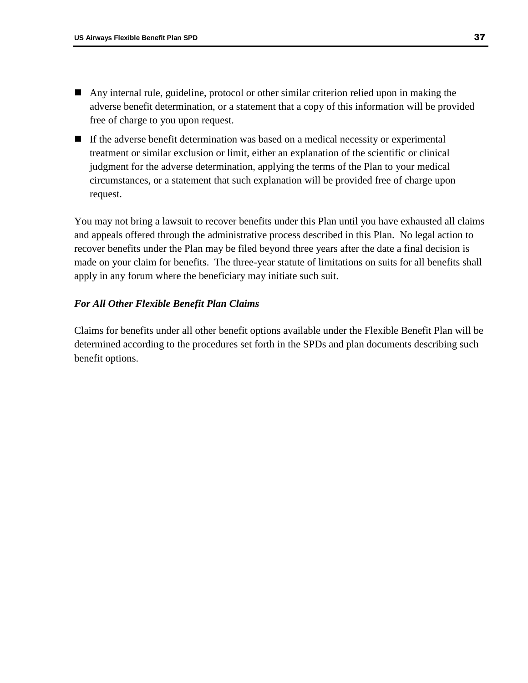- Any internal rule, guideline, protocol or other similar criterion relied upon in making the adverse benefit determination, or a statement that a copy of this information will be provided free of charge to you upon request.
- If the adverse benefit determination was based on a medical necessity or experimental treatment or similar exclusion or limit, either an explanation of the scientific or clinical judgment for the adverse determination, applying the terms of the Plan to your medical circumstances, or a statement that such explanation will be provided free of charge upon request.

You may not bring a lawsuit to recover benefits under this Plan until you have exhausted all claims and appeals offered through the administrative process described in this Plan. No legal action to recover benefits under the Plan may be filed beyond three years after the date a final decision is made on your claim for benefits. The three-year statute of limitations on suits for all benefits shall apply in any forum where the beneficiary may initiate such suit.

# <span id="page-39-0"></span>*For All Other Flexible Benefit Plan Claims*

Claims for benefits under all other benefit options available under the Flexible Benefit Plan will be determined according to the procedures set forth in the SPDs and plan documents describing such benefit options.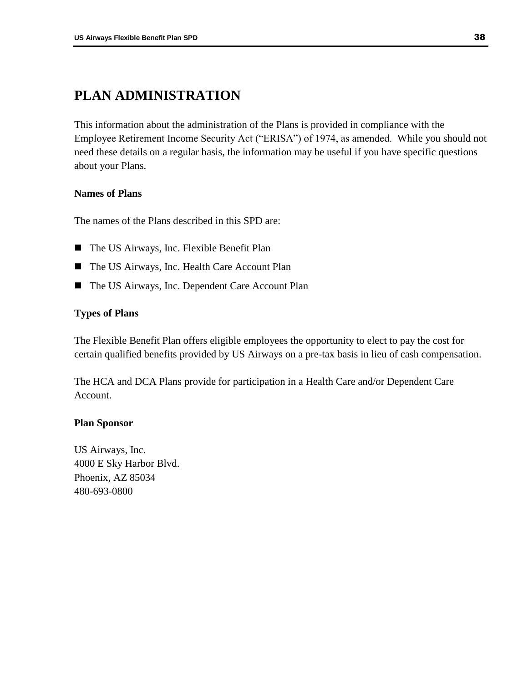# <span id="page-40-0"></span>**PLAN ADMINISTRATION**

This information about the administration of the Plans is provided in compliance with the Employee Retirement Income Security Act ("ERISA") of 1974, as amended. While you should not need these details on a regular basis, the information may be useful if you have specific questions about your Plans.

# <span id="page-40-1"></span>**Names of Plans**

The names of the Plans described in this SPD are:

- The US Airways, Inc. Flexible Benefit Plan
- The US Airways, Inc. Health Care Account Plan
- The US Airways, Inc. Dependent Care Account Plan

# <span id="page-40-2"></span>**Types of Plans**

The Flexible Benefit Plan offers eligible employees the opportunity to elect to pay the cost for certain qualified benefits provided by US Airways on a pre-tax basis in lieu of cash compensation.

The HCA and DCA Plans provide for participation in a Health Care and/or Dependent Care Account.

# <span id="page-40-3"></span>**Plan Sponsor**

US Airways, Inc. 4000 E Sky Harbor Blvd. Phoenix, AZ 85034 480-693-0800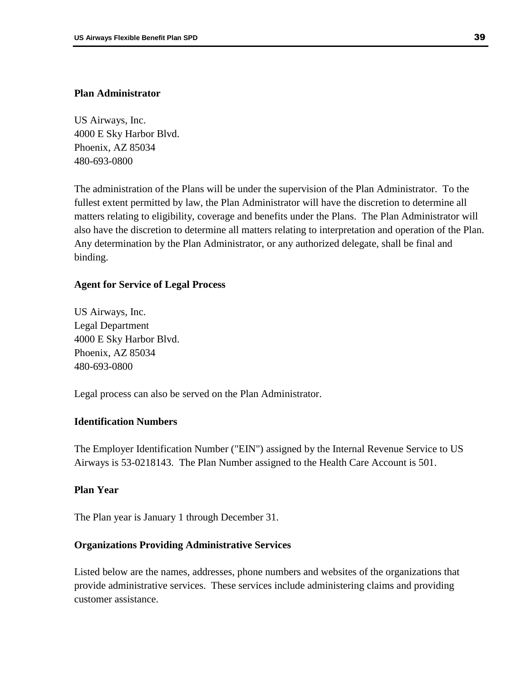## <span id="page-41-0"></span>**Plan Administrator**

US Airways, Inc. 4000 E Sky Harbor Blvd. Phoenix, AZ 85034 480-693-0800

The administration of the Plans will be under the supervision of the Plan Administrator. To the fullest extent permitted by law, the Plan Administrator will have the discretion to determine all matters relating to eligibility, coverage and benefits under the Plans. The Plan Administrator will also have the discretion to determine all matters relating to interpretation and operation of the Plan. Any determination by the Plan Administrator, or any authorized delegate, shall be final and binding.

### <span id="page-41-1"></span>**Agent for Service of Legal Process**

US Airways, Inc. Legal Department 4000 E Sky Harbor Blvd. Phoenix, AZ 85034 480-693-0800

Legal process can also be served on the Plan Administrator.

### <span id="page-41-2"></span>**Identification Numbers**

The Employer Identification Number ("EIN") assigned by the Internal Revenue Service to US Airways is 53-0218143. The Plan Number assigned to the Health Care Account is 501.

## <span id="page-41-3"></span>**Plan Year**

The Plan year is January 1 through December 31.

#### <span id="page-41-4"></span>**Organizations Providing Administrative Services**

Listed below are the names, addresses, phone numbers and websites of the organizations that provide administrative services. These services include administering claims and providing customer assistance.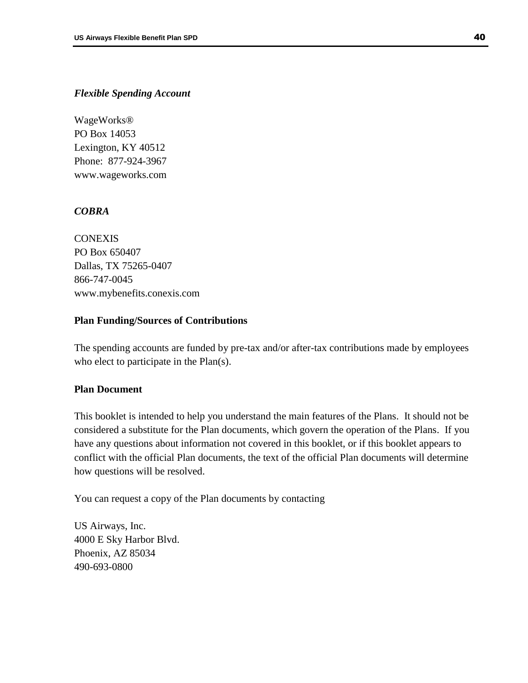### <span id="page-42-0"></span>*Flexible Spending Account*

WageWorks® PO Box 14053 Lexington, KY 40512 Phone: 877-924-3967 www.wageworks.com

# <span id="page-42-1"></span>*COBRA*

CONEXIS PO Box 650407 Dallas, TX 75265-0407 866-747-0045 www.mybenefits.conexis.com

### <span id="page-42-2"></span>**Plan Funding/Sources of Contributions**

The spending accounts are funded by pre-tax and/or after-tax contributions made by employees who elect to participate in the Plan(s).

# <span id="page-42-3"></span>**Plan Document**

This booklet is intended to help you understand the main features of the Plans. It should not be considered a substitute for the Plan documents, which govern the operation of the Plans. If you have any questions about information not covered in this booklet, or if this booklet appears to conflict with the official Plan documents, the text of the official Plan documents will determine how questions will be resolved.

You can request a copy of the Plan documents by contacting

US Airways, Inc. 4000 E Sky Harbor Blvd. Phoenix, AZ 85034 490-693-0800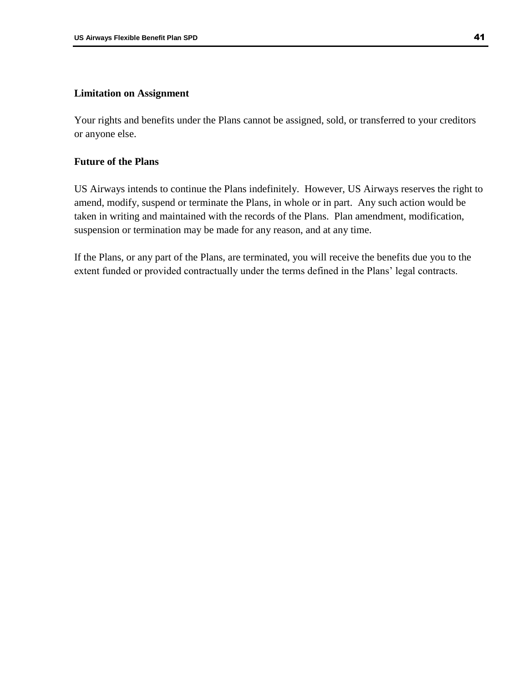### <span id="page-43-0"></span>**Limitation on Assignment**

Your rights and benefits under the Plans cannot be assigned, sold, or transferred to your creditors or anyone else.

# <span id="page-43-1"></span>**Future of the Plans**

US Airways intends to continue the Plans indefinitely. However, US Airways reserves the right to amend, modify, suspend or terminate the Plans, in whole or in part. Any such action would be taken in writing and maintained with the records of the Plans. Plan amendment, modification, suspension or termination may be made for any reason, and at any time.

If the Plans, or any part of the Plans, are terminated, you will receive the benefits due you to the extent funded or provided contractually under the terms defined in the Plans' legal contracts.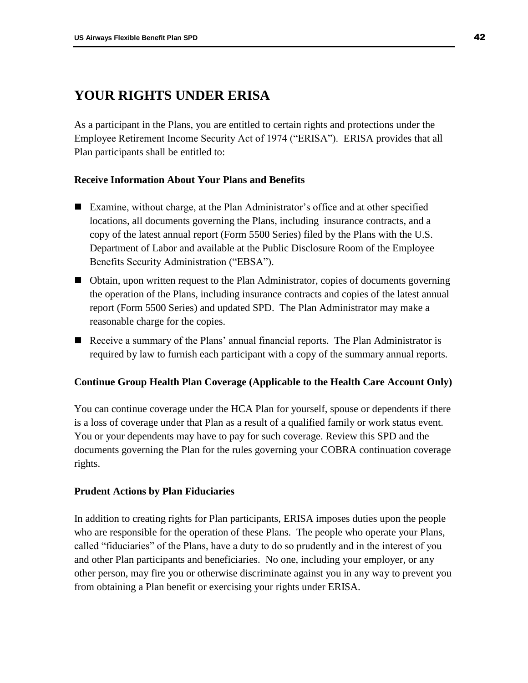# <span id="page-44-0"></span>**YOUR RIGHTS UNDER ERISA**

As a participant in the Plans, you are entitled to certain rights and protections under the Employee Retirement Income Security Act of 1974 ("ERISA"). ERISA provides that all Plan participants shall be entitled to:

# <span id="page-44-1"></span>**Receive Information About Your Plans and Benefits**

- Examine, without charge, at the Plan Administrator's office and at other specified locations, all documents governing the Plans, including insurance contracts, and a copy of the latest annual report (Form 5500 Series) filed by the Plans with the U.S. Department of Labor and available at the Public Disclosure Room of the Employee Benefits Security Administration ("EBSA").
- Obtain, upon written request to the Plan Administrator, copies of documents governing the operation of the Plans, including insurance contracts and copies of the latest annual report (Form 5500 Series) and updated SPD. The Plan Administrator may make a reasonable charge for the copies.
- Receive a summary of the Plans' annual financial reports. The Plan Administrator is required by law to furnish each participant with a copy of the summary annual reports.

# <span id="page-44-2"></span>**Continue Group Health Plan Coverage (Applicable to the Health Care Account Only)**

You can continue coverage under the HCA Plan for yourself, spouse or dependents if there is a loss of coverage under that Plan as a result of a qualified family or work status event. You or your dependents may have to pay for such coverage. Review this SPD and the documents governing the Plan for the rules governing your COBRA continuation coverage rights.

#### <span id="page-44-3"></span>**Prudent Actions by Plan Fiduciaries**

In addition to creating rights for Plan participants, ERISA imposes duties upon the people who are responsible for the operation of these Plans. The people who operate your Plans, called "fiduciaries" of the Plans, have a duty to do so prudently and in the interest of you and other Plan participants and beneficiaries. No one, including your employer, or any other person, may fire you or otherwise discriminate against you in any way to prevent you from obtaining a Plan benefit or exercising your rights under ERISA.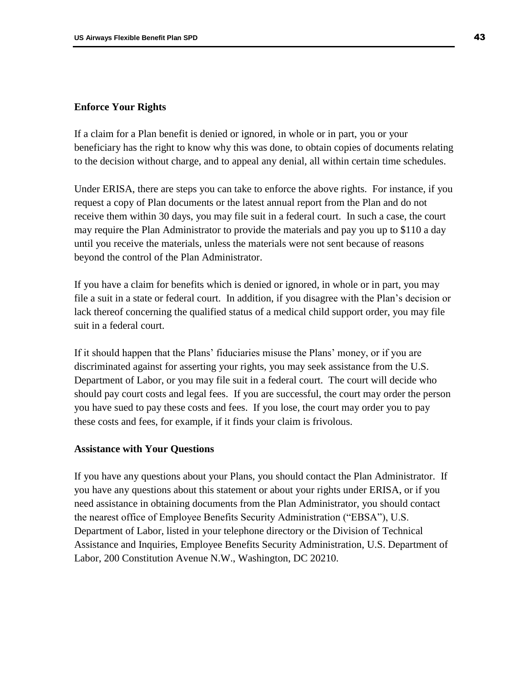### <span id="page-45-0"></span>**Enforce Your Rights**

If a claim for a Plan benefit is denied or ignored, in whole or in part, you or your beneficiary has the right to know why this was done, to obtain copies of documents relating to the decision without charge, and to appeal any denial, all within certain time schedules.

Under ERISA, there are steps you can take to enforce the above rights. For instance, if you request a copy of Plan documents or the latest annual report from the Plan and do not receive them within 30 days, you may file suit in a federal court. In such a case, the court may require the Plan Administrator to provide the materials and pay you up to \$110 a day until you receive the materials, unless the materials were not sent because of reasons beyond the control of the Plan Administrator.

If you have a claim for benefits which is denied or ignored, in whole or in part, you may file a suit in a state or federal court. In addition, if you disagree with the Plan's decision or lack thereof concerning the qualified status of a medical child support order, you may file suit in a federal court.

If it should happen that the Plans' fiduciaries misuse the Plans' money, or if you are discriminated against for asserting your rights, you may seek assistance from the U.S. Department of Labor, or you may file suit in a federal court. The court will decide who should pay court costs and legal fees. If you are successful, the court may order the person you have sued to pay these costs and fees. If you lose, the court may order you to pay these costs and fees, for example, if it finds your claim is frivolous.

### <span id="page-45-1"></span>**Assistance with Your Questions**

If you have any questions about your Plans, you should contact the Plan Administrator. If you have any questions about this statement or about your rights under ERISA, or if you need assistance in obtaining documents from the Plan Administrator, you should contact the nearest office of Employee Benefits Security Administration ("EBSA"), U.S. Department of Labor, listed in your telephone directory or the Division of Technical Assistance and Inquiries, Employee Benefits Security Administration, U.S. Department of Labor, 200 Constitution Avenue N.W., Washington, DC 20210.